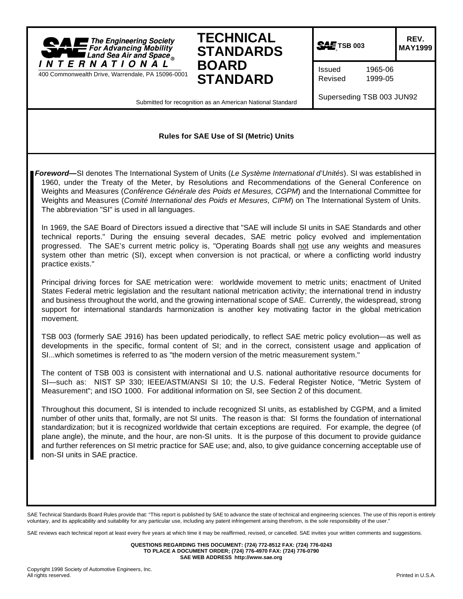



**SAE** TSB 003

**REV. MAY1999**

Issued 1965-06

Revised 1999-05

Submitted for recognition as an American National Standard

Superseding TSB 003 JUN92

# **Rules for SAE Use of SI (Metric) Units**

*Foreword—* SI denotes The International System of Units (*Le Système International d'Unités*). SI was established in 1960, under the Treaty of the Meter, by Resolutions and Recommendations of the General Conference on Weights and Measures (*Conférence Générale des Poids et Mesures, CGPM*) and the International Committee for Weights and Measures (*Comité International des Poids et Mesures, CIPM*) on The International System of Units. The abbreviation "SI" is used in all languages.

In 1969, the SAE Board of Directors issued a directive that "SAE will include SI units in SAE Standards and other technical reports." During the ensuing several decades, SAE metric policy evolved and implementation progressed. The SAE's current metric policy is, "Operating Boards shall not use any weights and measures system other than metric (SI), except when conversion is not practical, or where a conflicting world industry practice exists."

Principal driving forces for SAE metrication were: worldwide movement to metric units; enactment of United States Federal metric legislation and the resultant national metrication activity; the international trend in industry and business throughout the world, and the growing international scope of SAE. Currently, the widespread, strong support for international standards harmonization is another key motivating factor in the global metrication movement.

TSB 003 (formerly SAE J916) has been updated periodically, to reflect SAE metric policy evolution— as well as developments in the specific, formal content of SI; and in the correct, consistent usage and application of SI...which sometimes is referred to as "the modern version of the metric measurement system."

The content of TSB 003 is consistent with international and U.S. national authoritative resource documents for SI— such as: NIST SP 330; IEEE/ASTM/ANSI SI 10; the U.S. Federal Register Notice, "Metric System of Measurement"; and ISO 1000. For additional information on SI, see Section 2 of this document.

Throughout this document, SI is intended to include recognized SI units, as established by CGPM, and a limited number of other units that, formally, are not SI units. The reason is that: SI forms the foundation of international standardization; but it is recognized worldwide that certain exceptions are required. For example, the degree (of plane angle), the minute, and the hour, are non-SI units. It is the purpose of this document to provide guidance and further references on SI metric practice for SAE use; and, also, to give guidance concerning acceptable use of non-SI units in SAE practice.

SAE reviews each technical report at least every five years at which time it may be reaffirmed, revised, or cancelled. SAE invites your written comments and suggestions.

**QUESTIONS REGARDING THIS DOCUMENT: (724) 772-8512 FAX: (724) 776-0243 TO PLACE A DOCUMENT ORDER; (724) 776-4970 FAX: (724) 776-0790 SAE WEB ADDRESS http://www.sae.org**

SAE Technical Standards Board Rules provide that: "This report is published by SAE to advance the state of technical and engineering sciences. The use of this report is entirely voluntary, and its applicability and suitability for any particular use, including any patent infringement arising therefrom, is the sole responsibility of the user."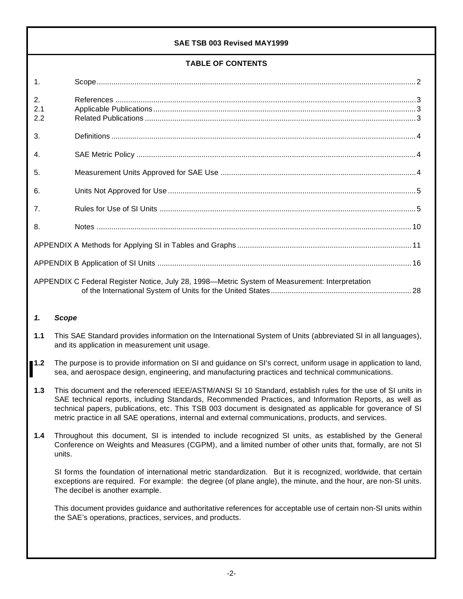# **TABLE OF CONTENTS**

| $\mathbf{1}$ .   |                                                                                                |  |
|------------------|------------------------------------------------------------------------------------------------|--|
| 2.<br>2.1<br>2.2 |                                                                                                |  |
| 3.               |                                                                                                |  |
| 4.               |                                                                                                |  |
| 5.               |                                                                                                |  |
| 6.               |                                                                                                |  |
| $\overline{7}$ . |                                                                                                |  |
| 8.               |                                                                                                |  |
|                  |                                                                                                |  |
|                  |                                                                                                |  |
|                  | APPENDIX C Federal Register Notice, July 28, 1998—Metric System of Measurement: Interpretation |  |

# *1. Scope*

**1.1** This SAE Standard provides information on the International System of Units (abbreviated SI in all languages), and its application in measurement unit usage.

**1.2** The purpose is to provide information on SI and guidance on SI's correct, uniform usage in application to land, sea, and aerospace design, engineering, and manufacturing practices and technical communications.

- **1.3** This document and the referenced IEEE/ASTM/ANSI SI 10 Standard, establish rules for the use of SI units in SAE technical reports, including Standards, Recommended Practices, and Information Reports, as well as technical papers, publications, etc. This TSB 003 document is designated as applicable for goverance of SI metric practice in all SAE operations, internal and external communications, products, and services.
- **1.4** Throughout this document, SI is intended to include recognized SI units, as established by the General Conference on Weights and Measures (CGPM), and a limited number of other units that, formally, are not SI units.

SI forms the foundation of international metric standardization. But it is recognized, worldwide, that certain exceptions are required. For example: the degree (of plane angle), the minute, and the hour, are non-SI units. The decibel is another example.

This document provides guidance and authoritative references for acceptable use of certain non-SI units within the SAE's operations, practices, services, and products.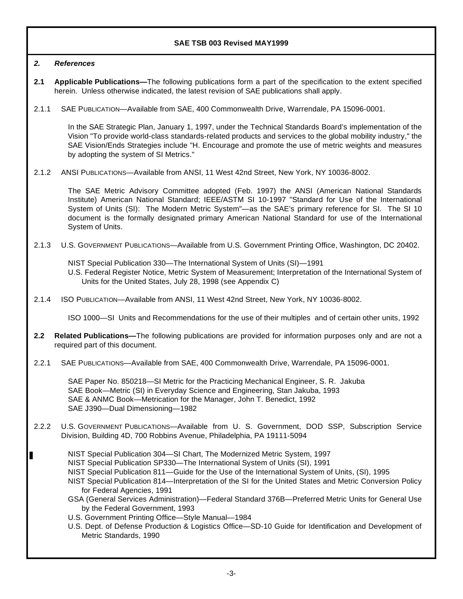# *2. References*

г

- **2.1 Applicable Publications—** The following publications form a part of the specification to the extent specified herein. Unless otherwise indicated, the latest revision of SAE publications shall apply.
- 2.1.1 SAE PUBLICATION— Available from SAE, 400 Commonwealth Drive, Warrendale, PA 15096-0001.

In the SAE Strategic Plan, January 1, 1997, under the Technical Standards Board's implementation of the Vision "To provide world-class standards-related products and services to the global mobility industry," the SAE Vision/Ends Strategies include "H. Encourage and promote the use of metric weights and measures by adopting the system of SI Metrics."

2.1.2 ANSI PUBLICATIONS— Available from ANSI, 11 West 42nd Street, New York, NY 10036-8002.

The SAE Metric Advisory Committee adopted (Feb. 1997) the ANSI (American National Standards Institute) American National Standard; IEEE/ASTM SI 10-1997 "Standard for Use of the International System of Units (SI): The Modern Metric System"—as the SAE's primary reference for SI. The SI 10 document is the formally designated primary American National Standard for use of the International System of Units.

2.1.3 U.S. GOVERNMENT PUBLICATIONS— Available from U.S. Government Printing Office, Washington, DC 20402.

NIST Special Publication 330— The International System of Units (SI)— 1991

U.S. Federal Register Notice, Metric System of Measurement; Interpretation of the International System of Units for the United States, July 28, 1998 (see Appendix C)

2.1.4 ISO PUBLICATION— Available from ANSI, 11 West 42nd Street, New York, NY 10036-8002.

ISO 1000— SI Units and Recommendations for the use of their multiples and of certain other units, 1992

- **2.2 Related Publications—** The following publications are provided for information purposes only and are not a required part of this document.
- 2.2.1 SAE PUBLICATIONS— Available from SAE, 400 Commonwealth Drive, Warrendale, PA 15096-0001.

SAE Paper No. 850218— SI Metric for the Practicing Mechanical Engineer, S. R. Jakuba SAE Book— Metric (SI) in Everyday Science and Engineering, Stan Jakuba, 1993 SAE & ANMC Book— Metrication for the Manager, John T. Benedict, 1992 SAE J390— Dual Dimensioning— 1982

- 2.2.2 U.S. GOVERNMENT PUBLICATIONS— Available from U. S. Government, DOD SSP, Subscription Service Division, Building 4D, 700 Robbins Avenue, Philadelphia, PA 19111-5094
	- NIST Special Publication 304— SI Chart, The Modernized Metric System, 1997
		- NIST Special Publication SP330— The International System of Units (SI), 1991
		- NIST Special Publication 811— Guide for the Use of the International System of Units, (SI), 1995
		- NIST Special Publication 814— Interpretation of the SI for the United States and Metric Conversion Policy for Federal Agencies, 1991
		- GSA (General Services Administration)— Federal Standard 376B— Preferred Metric Units for General Use by the Federal Government, 1993
		- U.S. Government Printing Office— Style Manual— 1984
		- U.S. Dept. of Defense Production & Logistics Office— SD-10 Guide for Identification and Development of Metric Standards, 1990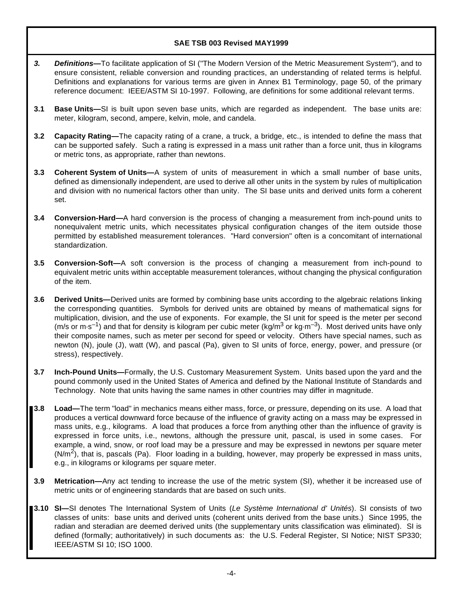- *3. Definitions—* To facilitate application of SI ("The Modern Version of the Metric Measurement System"), and to ensure consistent, reliable conversion and rounding practices, an understanding of related terms is helpful. Definitions and explanations for various terms are given in Annex B1 Terminology, page 50, of the primary reference document: IEEE/ASTM SI 10-1997. Following, are definitions for some additional relevant terms.
- **3.1 Base Units—** SI is built upon seven base units, which are regarded as independent. The base units are: meter, kilogram, second, ampere, kelvin, mole, and candela.
- **3.2 Capacity Rating—The capacity rating of a crane, a truck, a bridge, etc., is intended to define the mass that** can be supported safely. Such a rating is expressed in a mass unit rather than a force unit, thus in kilograms or metric tons, as appropriate, rather than newtons.
- **3.3 Coherent System of Units—**A system of units of measurement in which a small number of base units, defined as dimensionally independent, are used to derive all other units in the system by rules of multiplication and division with no numerical factors other than unity. The SI base units and derived units form a coherent set.
- **3.4 Conversion-Hard—** A hard conversion is the process of changing a measurement from inch-pound units to nonequivalent metric units, which necessitates physical configuration changes of the item outside those permitted by established measurement tolerances. "Hard conversion" often is a concomitant of international standardization.
- **3.5 Conversion-Soft—** A soft conversion is the process of changing a measurement from inch-pound to equivalent metric units within acceptable measurement tolerances, without changing the physical configuration of the item.
- **3.6 Derived Units**—Derived units are formed by combining base units according to the algebraic relations linking the corresponding quantities. Symbols for derived units are obtained by means of mathematical signs for multiplication, division, and the use of exponents. For example, the SI unit for speed is the meter per second (m/s or m·s<sup>-1</sup>) and that for density is kilogram per cubic meter (kg/m<sup>3</sup> or kg·m<sup>-3</sup>). Most derived units have only their composite names, such as meter per second for speed or velocity. Others have special names, such as newton (N), joule (J), watt (W), and pascal (Pa), given to SI units of force, energy, power, and pressure (or stress), respectively.
- **3.7 Inch-Pound Units—** Formally, the U.S. Customary Measurement System. Units based upon the yard and the pound commonly used in the United States of America and defined by the National Institute of Standards and Technology. Note that units having the same names in other countries may differ in magnitude.
- **3.8 Load—** The term "load" in mechanics means either mass, force, or pressure, depending on its use. A load that produces a vertical downward force because of the influence of gravity acting on a mass may be expressed in mass units, e.g., kilograms. A load that produces a force from anything other than the influence of gravity is expressed in force units, i.e., newtons, although the pressure unit, pascal, is used in some cases. For example, a wind, snow, or roof load may be a pressure and may be expressed in newtons per square meter  $(N/m^2)$ , that is, pascals (Pa). Floor loading in a building, however, may properly be expressed in mass units, e.g., in kilograms or kilograms per square meter.
- **3.9 Metrication**—Any act tending to increase the use of the metric system (SI), whether it be increased use of metric units or of engineering standards that are based on such units.
- **3.10 SI—** SI denotes The International System of Units (*Le Système International d' Unités*). SI consists of two classes of units: base units and derived units (coherent units derived from the base units.) Since 1995, the radian and steradian are deemed derived units (the supplementary units classification was eliminated). SI is defined (formally; authoritatively) in such documents as: the U.S. Federal Register, SI Notice; NIST SP330; IEEE/ASTM SI 10; ISO 1000.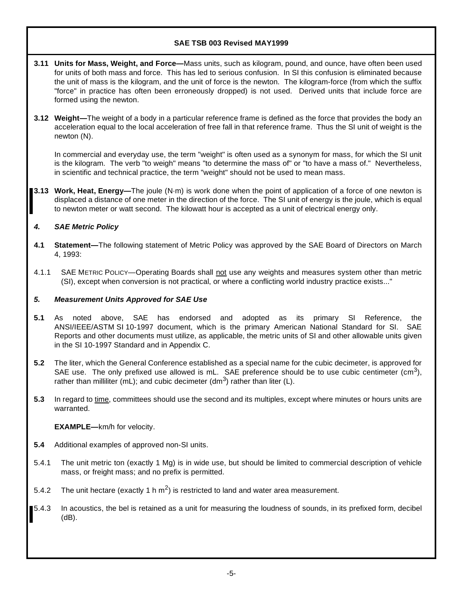- **3.11 Units for Mass, Weight, and Force—** Mass units, such as kilogram, pound, and ounce, have often been used for units of both mass and force. This has led to serious confusion. In SI this confusion is eliminated because the unit of mass is the kilogram, and the unit of force is the newton. The kilogram-force (from which the suffix "force" in practice has often been erroneously dropped) is not used. Derived units that include force are formed using the newton.
- **3.12** Weight—The weight of a body in a particular reference frame is defined as the force that provides the body an acceleration equal to the local acceleration of free fall in that reference frame. Thus the SI unit of weight is the newton (N).

In commercial and everyday use, the term "weight" is often used as a synonym for mass, for which the SI unit is the kilogram. The verb "to weigh" means "to determine the mass of" or "to have a mass of." Nevertheless, in scientific and technical practice, the term "weight" should not be used to mean mass.

**3.13 Work, Heat, Energy—The joule (N·m) is work done when the point of application of a force of one newton is** displaced a distance of one meter in the direction of the force. The SI unit of energy is the joule, which is equal to newton meter or watt second. The kilowatt hour is accepted as a unit of electrical energy only.

# *4. SAE Metric Policy*

- **4.1 Statement—** The following statement of Metric Policy was approved by the SAE Board of Directors on March 4, 1993:
- 4.1.1 SAE METRIC POLICY—Operating Boards shall not use any weights and measures system other than metric (SI), except when conversion is not practical, or where a conflicting world industry practice exists..."

# *5. Measurement Units Approved for SAE Use*

- **5.1** As noted above, SAE has endorsed and adopted as its primary SI Reference, the ANSI/IEEE/ASTM SI 10-1997 document, which is the primary American National Standard for SI. SAE Reports and other documents must utilize, as applicable, the metric units of SI and other allowable units given in the SI 10-1997 Standard and in Appendix C.
- **5.2** The liter, which the General Conference established as a special name for the cubic decimeter, is approved for SAE use. The only prefixed use allowed is mL. SAE preference should be to use cubic centimeter (cm<sup>3</sup>), rather than milliliter (mL); and cubic decimeter (dm<sup>3</sup>) rather than liter (L).
- **5.3** In regard to time, committees should use the second and its multiples, except where minutes or hours units are warranted.

**EXAMPLE—** km/h for velocity.

- **5.4** Additional examples of approved non-SI units.
- 5.4.1 The unit metric ton (exactly 1 Mg) is in wide use, but should be limited to commercial description of vehicle mass, or freight mass; and no prefix is permitted.
- 5.4.2 The unit hectare (exactly 1 h m<sup>2</sup>) is restricted to land and water area measurement.
- 5.4.3 In acoustics, the bel is retained as a unit for measuring the loudness of sounds, in its prefixed form, decibel (dB).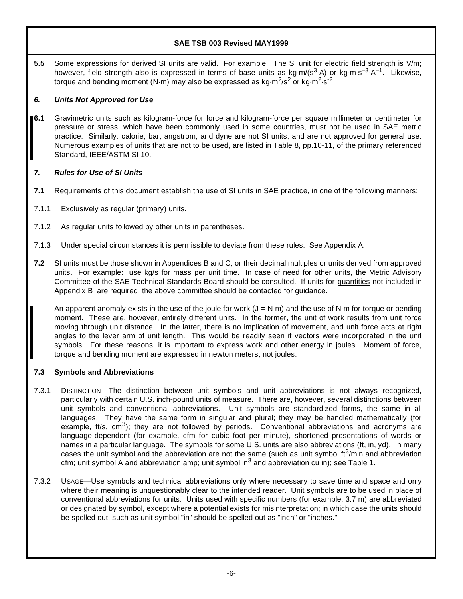**5.5** Some expressions for derived SI units are valid. For example: The SI unit for electric field strength is V/m; however, field strength also is expressed in terms of base units as kg·m/(s<sup>3</sup>·A) or kg·m·s<sup>-3</sup>·A<sup>-1</sup>. Likewise, torque and bending moment (N·m) may also be expressed as kg·m<sup>2</sup>/s<sup>2</sup> or kg·m<sup>2</sup>·s<sup>-2</sup>

# *6. Units Not Approved for Use*

**6.1** Gravimetric units such as kilogram-force for force and kilogram-force per square millimeter or centimeter for pressure or stress, which have been commonly used in some countries, must not be used in SAE metric practice. Similarly: calorie, bar, angstrom, and dyne are not SI units, and are not approved for general use. Numerous examples of units that are not to be used, are listed in Table 8, pp.10-11, of the primary referenced Standard, IEEE/ASTM SI 10.

# *7. Rules for Use of SI Units*

- **7.1** Requirements of this document establish the use of SI units in SAE practice, in one of the following manners:
- 7.1.1 Exclusively as regular (primary) units.
- 7.1.2 As regular units followed by other units in parentheses.
- 7.1.3 Under special circumstances it is permissible to deviate from these rules. See Appendix A.
- **7.2** SI units must be those shown in Appendices B and C, or their decimal multiples or units derived from approved units. For example: use kg/s for mass per unit time. In case of need for other units, the Metric Advisory Committee of the SAE Technical Standards Board should be consulted. If units for quantities not included in Appendix B are required, the above committee should be contacted for guidance.

An apparent anomaly exists in the use of the joule for work  $(J = N \cdot m)$  and the use of N $\cdot m$  for torque or bending moment. These are, however, entirely different units. In the former, the unit of work results from unit force moving through unit distance. In the latter, there is no implication of movement, and unit force acts at right angles to the lever arm of unit length. This would be readily seen if vectors were incorporated in the unit symbols. For these reasons, it is important to express work and other energy in joules. Moment of force, torque and bending moment are expressed in newton meters, not joules.

# **7.3 Symbols and Abbreviations**

- 7.3.1 DISTINCTION— The distinction between unit symbols and unit abbreviations is not always recognized, particularly with certain U.S. inch-pound units of measure. There are, however, several distinctions between unit symbols and conventional abbreviations. Unit symbols are standardized forms, the same in all languages. They have the same form in singular and plural; they may be handled mathematically (for example, ft/s,  $cm<sup>3</sup>$ ); they are not followed by periods. Conventional abbreviations and acronyms are language-dependent (for example, cfm for cubic foot per minute), shortened presentations of words or names in a particular language. The symbols for some U.S. units are also abbreviations (ft, in, yd). In many cases the unit symbol and the abbreviation are not the same (such as unit symbol  $ft^3/m$ in and abbreviation cfm; unit symbol A and abbreviation amp; unit symbol in<sup>3</sup> and abbreviation cu in); see Table 1.
- 7.3.2 USAGE— Use symbols and technical abbreviations only where necessary to save time and space and only where their meaning is unquestionably clear to the intended reader. Unit symbols are to be used in place of conventional abbreviations for units. Units used with specific numbers (for example, 3.7 m) are abbreviated or designated by symbol, except where a potential exists for misinterpretation; in which case the units should be spelled out, such as unit symbol "in" should be spelled out as "inch" or "inches."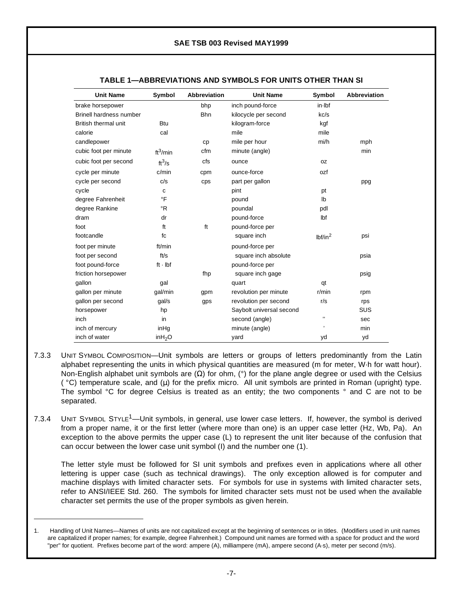| <b>Unit Name</b><br>Symbol<br><b>Abbreviation</b><br><b>Unit Name</b> |                      |            | Symbol                   | Abbreviation        |      |
|-----------------------------------------------------------------------|----------------------|------------|--------------------------|---------------------|------|
| brake horsepower                                                      |                      | bhp        | inch pound-force         | $in$ -Ibf           |      |
| Brinell hardness number                                               |                      | <b>Bhn</b> | kilocycle per second     | kc/s                |      |
| British thermal unit                                                  | Btu                  |            | kilogram-force           | kgf                 |      |
| calorie                                                               | cal                  |            | mile                     | mile                |      |
| candlepower                                                           |                      | cp         | mile per hour            | mi/h                | mph  |
| cubic foot per minute                                                 | ft <sup>3</sup> /min | cfm        | minute (angle)           |                     | min  |
| cubic foot per second                                                 | $ft^3/s$             | cfs        | ounce                    | 0Z                  |      |
| cycle per minute                                                      | c/min                | cpm        | ounce-force              | ozf                 |      |
| cycle per second                                                      | c/s                  | cps        | part per gallon          |                     | ppg  |
| cycle                                                                 | C                    |            | pint                     | pt                  |      |
| degree Fahrenheit                                                     | °F                   |            | pound                    | lb                  |      |
| degree Rankine                                                        | °R                   |            | poundal                  | pdl                 |      |
| dram                                                                  | dr                   |            | pound-force              | lbf                 |      |
| foot                                                                  | ft                   | ft         | pound-force per          |                     |      |
| footcandle                                                            | fc                   |            | square inch              | Ibf/in <sup>2</sup> | psi  |
| foot per minute                                                       | ft/min               |            | pound-force per          |                     |      |
| foot per second                                                       | ft/s                 |            | square inch absolute     |                     | psia |
| foot pound-force                                                      | $ft \cdot lbf$       |            | pound-force per          |                     |      |
| friction horsepower                                                   |                      | fhp        | square inch gage         |                     | psig |
| gallon                                                                | gal                  |            | quart                    | qt                  |      |
| gallon per minute                                                     | qal/min              | gpm        | revolution per minute    | r/min               | rpm  |
| gallon per second                                                     | gal/s                | gps        | revolution per second    | r/s                 | rps  |
| horsepower                                                            | hp                   |            | Saybolt universal second |                     | SUS  |
| inch                                                                  | in                   |            | second (angle)           | ,,                  | sec  |
| inch of mercury                                                       | inHg                 |            | minute (angle)           | ,                   | min  |
| inch of water                                                         | in H <sub>2</sub> O  |            | yard                     | yd                  | yd   |

### **TABLE 1— ABBREVIATIONS AND SYMBOLS FOR UNITS OTHER THAN SI**

- 7.3.3 UNIT SYMBOL COMPOSITION— Unit symbols are letters or groups of letters predominantly from the Latin alphabet representing the units in which physical quantities are measured (m for meter, W·h for watt hour). Non-English alphabet unit symbols are  $(Ω)$  for ohm,  $(°)$  for the plane angle degree or used with the Celsius ( $°C$ ) temperature scale, and ( $\mu$ ) for the prefix micro. All unit symbols are printed in Roman (upright) type. The symbol °C for degree Celsius is treated as an entity; the two components ° and C are not to be separated.
- 7.3.4 UNIT SYMBOL STYLE<sup>1</sup>—Unit symbols, in general, use lower case letters. If, however, the symbol is derived from a proper name, it or the first letter (where more than one) is an upper case letter (Hz, Wb, Pa). An exception to the above permits the upper case (L) to represent the unit liter because of the confusion that can occur between the lower case unit symbol (I) and the number one (1).

The letter style must be followed for SI unit symbols and prefixes even in applications where all other lettering is upper case (such as technical drawings). The only exception allowed is for computer and machine displays with limited character sets. For symbols for use in systems with limited character sets, refer to ANSI/IEEE Std. 260. The symbols for limited character sets must not be used when the available character set permits the use of the proper symbols as given herein.

<sup>1.</sup> Handling of Unit Names— Names of units are not capitalized except at the beginning of sentences or in titles. (Modifiers used in unit names are capitalized if proper names; for example, degree Fahrenheit.) Compound unit names are formed with a space for product and the word "per" for quotient. Prefixes become part of the word: ampere (A), milliampere (mA), ampere second (A·s), meter per second (m/s).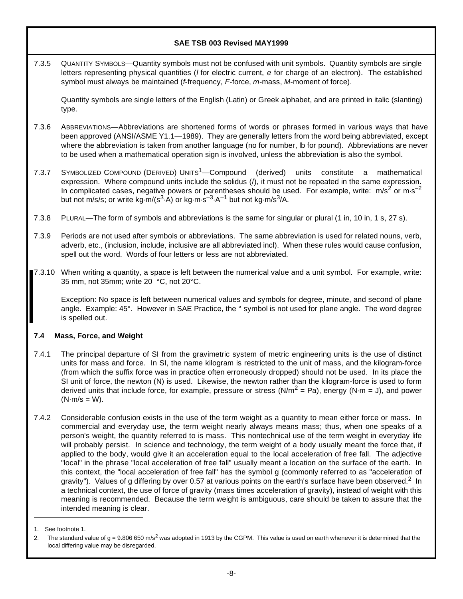7.3.5 QUANTITY SYMBOLS— Quantity symbols must not be confused with unit symbols. Quantity symbols are single letters representing physical quantities (*l* for electric current, *e* for charge of an electron). The established symbol must always be maintained (*f*-frequency, *F*-force, *m*-mass, *M*-moment of force).

Quantity symbols are single letters of the English (Latin) or Greek alphabet, and are printed in italic (slanting) type.

- 7.3.6 ABBREVIATIONS— Abbreviations are shortened forms of words or phrases formed in various ways that have been approved (ANSI/ASME Y1.1— 1989). They are generally letters from the word being abbreviated, except where the abbreviation is taken from another language (no for number, lb for pound). Abbreviations are never to be used when a mathematical operation sign is involved, unless the abbreviation is also the symbol.
- 7.3.7 SYMBOLIZED COMPOUND (DERIVED) UNITS<sup>1</sup>—Compound (derived) units constitute a mathematical expression. Where compound units include the solidus (/), it must not be repeated in the same expression. In complicated cases, negative powers or parentheses should be used. For example, write:  $m/s^2$  or m·s<sup>-2</sup> but not m/s/s; or write kg $\cdot$ m/(s<sup>3</sup> $\cdot$ A) or kg $\cdot$ m $\cdot$ s $^{-3}\cdot$ A $^{-1}$  but not kg $\cdot$ m/s $^{3}$ /A.
- 7.3.8 PLURAL—The form of symbols and abbreviations is the same for singular or plural (1 in, 10 in, 1 s, 27 s).
- 7.3.9 Periods are not used after symbols or abbreviations. The same abbreviation is used for related nouns, verb, adverb, etc., (inclusion, include, inclusive are all abbreviated incl). When these rules would cause confusion, spell out the word. Words of four letters or less are not abbreviated.
- 7.3.10 When writing a quantity, a space is left between the numerical value and a unit symbol. For example, write: 35 mm, not 35mm; write 20 °C, not 20°C.

Exception: No space is left between numerical values and symbols for degree, minute, and second of plane angle. Example: 45°. However in SAE Practice, the ° symbol is not used for plane angle. The word degree is spelled out.

# **7.4 Mass, Force, and Weight**

- 7.4.1 The principal departure of SI from the gravimetric system of metric engineering units is the use of distinct units for mass and force. In SI, the name kilogram is restricted to the unit of mass, and the kilogram-force (from which the suffix force was in practice often erroneously dropped) should not be used. In its place the SI unit of force, the newton (N) is used. Likewise, the newton rather than the kilogram-force is used to form derived units that include force, for example, pressure or stress (N/m<sup>2</sup> = Pa), energy (N·m = J), and power  $(N·m/s = W)$ .
- 7.4.2 Considerable confusion exists in the use of the term weight as a quantity to mean either force or mass. In commercial and everyday use, the term weight nearly always means mass; thus, when one speaks of a person's weight, the quantity referred to is mass. This nontechnical use of the term weight in everyday life will probably persist. In science and technology, the term weight of a body usually meant the force that, if applied to the body, would give it an acceleration equal to the local acceleration of free fall. The adjective "local" in the phrase "local acceleration of free fall" usually meant a location on the surface of the earth. In this context, the "local acceleration of free fall" has the symbol g (commonly referred to as "acceleration of gravity"). Values of g differing by over 0.57 at various points on the earth's surface have been observed.<sup>2</sup> In a technical context, the use of force of gravity (mass times acceleration of gravity), instead of weight with this meaning is recommended. Because the term weight is ambiguous, care should be taken to assure that the intended meaning is clear.

<sup>1.</sup> See footnote 1.

<sup>2.</sup> The standard value of g = 9.806 650 m/s<sup>2</sup> was adopted in 1913 by the CGPM. This value is used on earth whenever it is determined that the local differing value may be disregarded.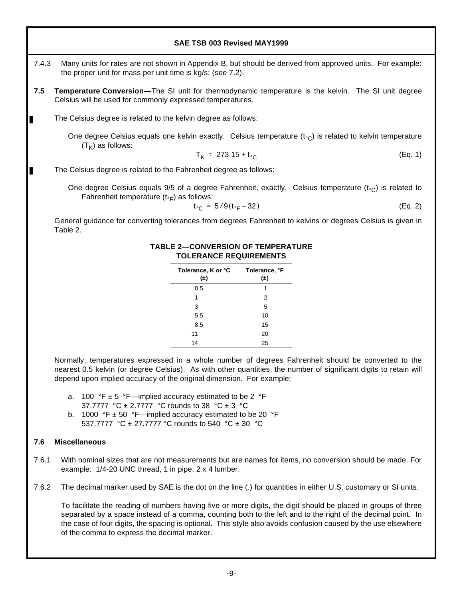- 7.4.3 Many units for rates are not shown in Appendix B, but should be derived from approved units. For example: the proper unit for mass per unit time is kg/s; (see 7.2).
- **7.5 Temperature Conversion—** The SI unit for thermodynamic temperature is the kelvin. The SI unit degree Celsius will be used for commonly expressed temperatures.

### The Celsius degree is related to the kelvin degree as follows:

One degree Celsius equals one kelvin exactly. Celsius temperature ( $t_{\rm c}$ ) is related to kelvin temperature (T<sub>K</sub>) as follows:

$$
T_{K} = 273.15 + t_{\circ} \tag{Eq. 1}
$$

The Celsius degree is related to the Fahrenheit degree as follows:

One degree Celsius equals 9/5 of a degree Fahrenheit, exactly. Celsius temperature (to<sub>C</sub>) is related to Fahrenheit temperature  $(t_{\text{cF}})$  as follows:

$$
t_{\circ} = 5/9(t_{\circ} - 32) \tag{Eq. 2}
$$

General guidance for converting tolerances from degrees Fahrenheit to kelvins or degrees Celsius is given in Table 2.

# **TABLE 2— CONVERSION OF TEMPERATURE TOLERANCE REQUIREMENTS**

| Tolerance, K or °C<br>$(\pm)$ | Tolerance, °F<br>( |
|-------------------------------|--------------------|
| 0.5                           | 1                  |
| 1                             | $\overline{2}$     |
| 3                             | 5                  |
| 5.5                           | 10                 |
| 8.5                           | 15                 |
| 11                            | 20                 |
| 14                            | 25                 |

Normally, temperatures expressed in a whole number of degrees Fahrenheit should be converted to the nearest 0.5 kelvin (or degree Celsius). As with other quantities, the number of significant digits to retain will depend upon implied accuracy of the original dimension. For example:

- a. 100 °F  $\pm$  5 °F—implied accuracy estimated to be 2 °F
	- 37.7777 °C ± 2.7777 °C rounds to 38 °C ± 3 °C
- b. 1000 °F  $\pm$  50 °F—implied accuracy estimated to be 20 °F 537.7777 °C ± 27.7777 °C rounds to 540 °C ± 30 °C

#### **7.6 Miscellaneous**

П

П

7.6.1 With nominal sizes that are not measurements but are names for items, no conversion should be made. For example: 1/4-20 UNC thread, 1 in pipe, 2 x 4 lumber.

7.6.2 The decimal marker used by SAE is the dot on the line (.) for quantities in either U.S. customary or SI units.

To facilitate the reading of numbers having five or more digits, the digit should be placed in groups of three separated by a space instead of a comma, counting both to the left and to the right of the decimal point. In the case of four digits, the spacing is optional. This style also avoids confusion caused by the use elsewhere of the comma to express the decimal marker.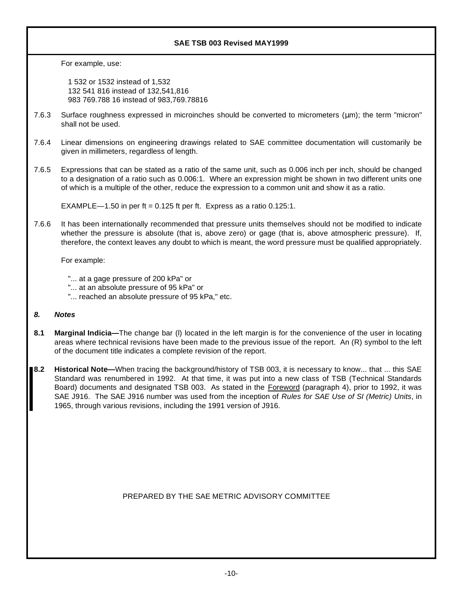For example, use:

1 532 or 1532 instead of 1,532 132 541 816 instead of 132,541,816 983 769.788 16 instead of 983,769.78816

- 7.6.3 Surface roughness expressed in microinches should be converted to micrometers (μm); the term "micron" shall not be used.
- 7.6.4 Linear dimensions on engineering drawings related to SAE committee documentation will customarily be given in millimeters, regardless of length.
- 7.6.5 Expressions that can be stated as a ratio of the same unit, such as 0.006 inch per inch, should be changed to a designation of a ratio such as 0.006:1. Where an expression might be shown in two different units one of which is a multiple of the other, reduce the expression to a common unit and show it as a ratio.

EXAMPLE—1.50 in per ft =  $0.125$  ft per ft. Express as a ratio  $0.125:1$ .

7.6.6 It has been internationally recommended that pressure units themselves should not be modified to indicate whether the pressure is absolute (that is, above zero) or gage (that is, above atmospheric pressure). If, therefore, the context leaves any doubt to which is meant, the word pressure must be qualified appropriately.

For example:

- "... at a gage pressure of 200 kPa" or
- "... at an absolute pressure of 95 kPa" or
- "... reached an absolute pressure of 95 kPa," etc.
- *8. Notes*
- **8.1 Marginal Indicia—** The change bar (l) located in the left margin is for the convenience of the user in locating areas where technical revisions have been made to the previous issue of the report. An (R) symbol to the left of the document title indicates a complete revision of the report.
- **8.2 Historical Note—When tracing the background/history of TSB 003, it is necessary to know... that ... this SAE** Standard was renumbered in 1992. At that time, it was put into a new class of TSB (Technical Standards Board) documents and designated TSB 003. As stated in the Foreword (paragraph 4), prior to 1992, it was SAE J916. The SAE J916 number was used from the inception of *Rules for SAE Use of SI (Metric) Units*, in 1965, through various revisions, including the 1991 version of J916.

# PREPARED BY THE SAE METRIC ADVISORY COMMITTEE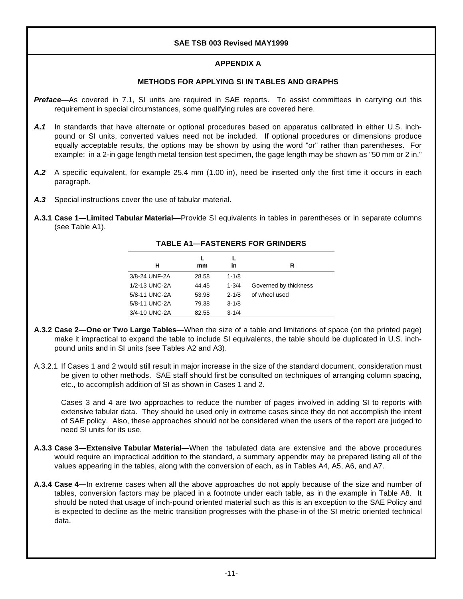# **APPENDIX A**

### **METHODS FOR APPLYING SI IN TABLES AND GRAPHS**

- **Preface—** As covered in 7.1, SI units are required in SAE reports. To assist committees in carrying out this requirement in special circumstances, some qualifying rules are covered here.
- *A.1* In standards that have alternate or optional procedures based on apparatus calibrated in either U.S. inchpound or SI units, converted values need not be included. If optional procedures or dimensions produce equally acceptable results, the options may be shown by using the word "or" rather than parentheses. For example: in a 2-in gage length metal tension test specimen, the gage length may be shown as "50 mm or 2 in."
- *A.2* A specific equivalent, for example 25.4 mm (1.00 in), need be inserted only the first time it occurs in each paragraph.
- *A.3* Special instructions cover the use of tabular material.
- **A.3.1 Case 1— Limited Tabular Material—** Provide SI equivalents in tables in parentheses or in separate columns (see Table A1).

| н             | mm    | in        | R                     |
|---------------|-------|-----------|-----------------------|
| 3/8-24 UNF-2A | 28.58 | $1 - 1/8$ |                       |
| 1/2-13 UNC-2A | 44.45 | $1 - 3/4$ | Governed by thickness |
| 5/8-11 UNC-2A | 53.98 | $2 - 1/8$ | of wheel used         |
| 5/8-11 UNC-2A | 79.38 | $3 - 1/8$ |                       |
| 3/4-10 UNC-2A | 82.55 | $3 - 1/4$ |                       |

#### **TABLE A1— FASTENERS FOR GRINDERS**

- **A.3.2 Case 2— One or Two Large Tables—** When the size of a table and limitations of space (on the printed page) make it impractical to expand the table to include SI equivalents, the table should be duplicated in U.S. inchpound units and in SI units (see Tables A2 and A3).
- A.3.2.1 If Cases 1 and 2 would still result in major increase in the size of the standard document, consideration must be given to other methods. SAE staff should first be consulted on techniques of arranging column spacing, etc., to accomplish addition of SI as shown in Cases 1 and 2.

Cases 3 and 4 are two approaches to reduce the number of pages involved in adding SI to reports with extensive tabular data. They should be used only in extreme cases since they do not accomplish the intent of SAE policy. Also, these approaches should not be considered when the users of the report are judged to need SI units for its use.

- **A.3.3 Case 3— Extensive Tabular Material—** When the tabulated data are extensive and the above procedures would require an impractical addition to the standard, a summary appendix may be prepared listing all of the values appearing in the tables, along with the conversion of each, as in Tables A4, A5, A6, and A7.
- **A.3.4 Case 4—** In extreme cases when all the above approaches do not apply because of the size and number of tables, conversion factors may be placed in a footnote under each table, as in the example in Table A8. It should be noted that usage of inch-pound oriented material such as this is an exception to the SAE Policy and is expected to decline as the metric transition progresses with the phase-in of the SI metric oriented technical data.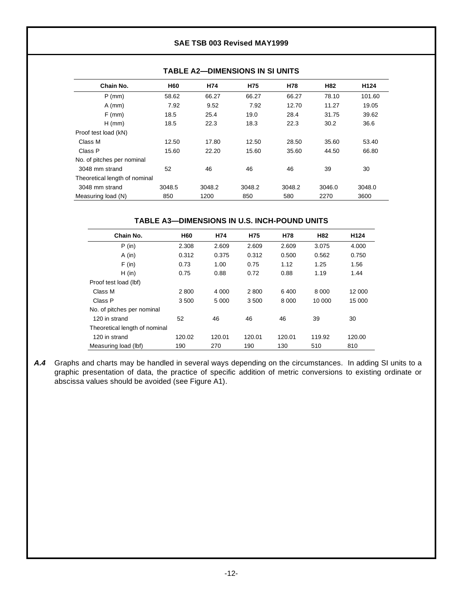| Chain No.                     | H60    | H74    | H75    | H78    | H <sub>82</sub> | H <sub>124</sub> |
|-------------------------------|--------|--------|--------|--------|-----------------|------------------|
| $P$ (mm)                      | 58.62  | 66.27  | 66.27  | 66.27  | 78.10           | 101.60           |
| $A$ (mm)                      | 7.92   | 9.52   | 7.92   | 12.70  | 11.27           | 19.05            |
| $F$ (mm)                      | 18.5   | 25.4   | 19.0   | 28.4   | 31.75           | 39.62            |
| $H$ (mm)                      | 18.5   | 22.3   | 18.3   | 22.3   | 30.2            | 36.6             |
| Proof test load (kN)          |        |        |        |        |                 |                  |
| Class M                       | 12.50  | 17.80  | 12.50  | 28.50  | 35.60           | 53.40            |
| Class P                       | 15.60  | 22.20  | 15.60  | 35.60  | 44.50           | 66.80            |
| No. of pitches per nominal    |        |        |        |        |                 |                  |
| 3048 mm strand                | 52     | 46     | 46     | 46     | 39              | 30               |
| Theoretical length of nominal |        |        |        |        |                 |                  |
| 3048 mm strand                | 3048.5 | 3048.2 | 3048.2 | 3048.2 | 3046.0          | 3048.0           |
| Measuring load (N)            | 850    | 1200   | 850    | 580    | 2270            | 3600             |

### **TABLE A2— DIMENSIONS IN SI UNITS**

# **TABLE A3— DIMENSIONS IN U.S. INCH-POUND UNITS**

| Chain No.                     | <b>H60</b> | H74     | <b>H75</b> | H78     | H82     | H <sub>124</sub> |
|-------------------------------|------------|---------|------------|---------|---------|------------------|
| $P$ (in)                      | 2.308      | 2.609   | 2.609      | 2.609   | 3.075   | 4.000            |
| A (in)                        | 0.312      | 0.375   | 0.312      | 0.500   | 0.562   | 0.750            |
| $F$ (in)                      | 0.73       | 1.00    | 0.75       | 1.12    | 1.25    | 1.56             |
| H (in)                        | 0.75       | 0.88    | 0.72       | 0.88    | 1.19    | 1.44             |
| Proof test load (lbf)         |            |         |            |         |         |                  |
| Class M                       | 2800       | 4 0 0 0 | 2800       | 6400    | 8 0 0 0 | 12 000           |
| Class P                       | 3 500      | 5 0 0 0 | 3 500      | 8 0 0 0 | 10 000  | 15 000           |
| No. of pitches per nominal    |            |         |            |         |         |                  |
| 120 in strand                 | 52         | 46      | 46         | 46      | 39      | 30               |
| Theoretical length of nominal |            |         |            |         |         |                  |
| 120 in strand                 | 120.02     | 120.01  | 120.01     | 120.01  | 119.92  | 120.00           |
| Measuring load (lbf)          | 190        | 270     | 190        | 130     | 510     | 810              |

*A.4* Graphs and charts may be handled in several ways depending on the circumstances. In adding SI units to a graphic presentation of data, the practice of specific addition of metric conversions to existing ordinate or abscissa values should be avoided (see Figure A1).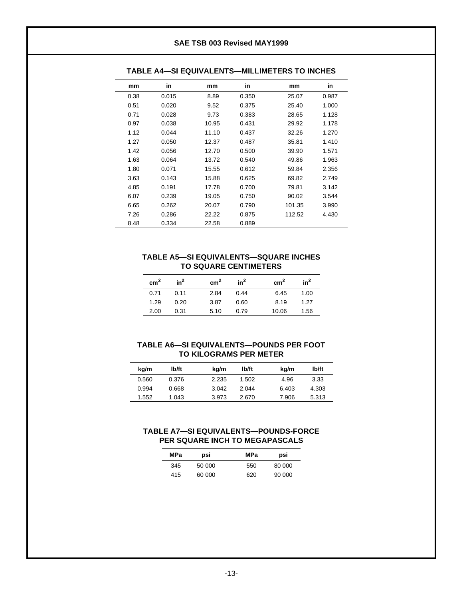| mm   | in    | mm    | in    | mm     | in    |
|------|-------|-------|-------|--------|-------|
| 0.38 | 0.015 | 8.89  | 0.350 | 25.07  | 0.987 |
| 0.51 | 0.020 | 9.52  | 0.375 | 25.40  | 1.000 |
| 0.71 | 0.028 | 9.73  | 0.383 | 28.65  | 1.128 |
| 0.97 | 0.038 | 10.95 | 0.431 | 29.92  | 1.178 |
| 1.12 | 0.044 | 11.10 | 0.437 | 32.26  | 1.270 |
| 1.27 | 0.050 | 12.37 | 0.487 | 35.81  | 1.410 |
| 1.42 | 0.056 | 12.70 | 0.500 | 39.90  | 1.571 |
| 1.63 | 0.064 | 13.72 | 0.540 | 49.86  | 1.963 |
| 1.80 | 0.071 | 15.55 | 0.612 | 59.84  | 2.356 |
| 3.63 | 0.143 | 15.88 | 0.625 | 69.82  | 2.749 |
| 4.85 | 0.191 | 17.78 | 0.700 | 79.81  | 3.142 |
| 6.07 | 0.239 | 19.05 | 0.750 | 90.02  | 3.544 |
| 6.65 | 0.262 | 20.07 | 0.790 | 101.35 | 3.990 |
| 7.26 | 0.286 | 22.22 | 0.875 | 112.52 | 4.430 |
| 8.48 | 0.334 | 22.58 | 0.889 |        |       |

### **TABLE A4— SI EQUIVALENTS— MILLIMETERS TO INCHES**

### **TABLE A5— SI EQUIVALENTS— SQUARE INCHES TO SQUARE CENTIMETERS**

| cm <sup>2</sup> | $in^2$ | cm <sup>2</sup> | $in^2$ | cm <sup>2</sup> | $in^2$ |
|-----------------|--------|-----------------|--------|-----------------|--------|
| 0.71            | 0.11   | 2.84            | 0.44   | 6.45            | 1.00   |
| 1.29            | 0.20   | 3.87            | 0.60   | 8.19            | 1.27   |
| 2.00            | 0.31   | 5.10            | 0.79   | 10.06           | 1.56   |

### **TABLE A6— SI EQUIVALENTS— POUNDS PER FOOT TO KILOGRAMS PER METER**

| kg/m  | lb/ft | kg/m  | lb/ft | kg/m  | lb/ft |
|-------|-------|-------|-------|-------|-------|
| 0.560 | 0.376 | 2.235 | 1.502 | 4.96  | 3.33  |
| 0.994 | 0.668 | 3.042 | 2.044 | 6.403 | 4.303 |
| 1.552 | 1.043 | 3.973 | 2.670 | 7.906 | 5.313 |

### **TABLE A7— SI EQUIVALENTS— POUNDS-FORCE PER SQUARE INCH TO MEGAPASCALS**

| MPa | psi    | MPa | psi    |
|-----|--------|-----|--------|
| 345 | 50 000 | 550 | 80 000 |
| 415 | 60 000 | 620 | 90 000 |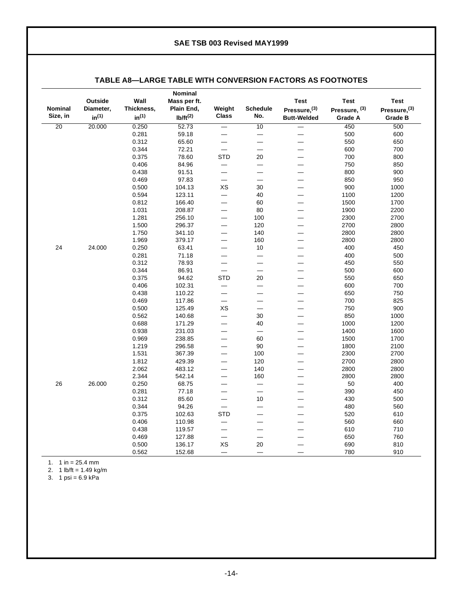# **TABLE A8— LARGE TABLE WITH CONVERSION FACTORS AS FOOTNOTES**

| <b>Nominal</b><br>Size, in | Outside<br>Diameter,<br>in <sup>(1)</sup> | Wall<br>Thickness,<br>in <sup>(1)</sup> | Nominal<br>Mass per ft.<br>Plain End,<br>$I\vert b/ft^{(2)}$ | Weight<br><b>Class</b>   | <b>Schedule</b><br>No.   | <b>Test</b><br>Pressure, (3)<br><b>Butt-Welded</b> | <b>Test</b><br>Pressure, (3)<br>Grade A | <b>Test</b><br>Pressure, (3)<br><b>Grade B</b> |
|----------------------------|-------------------------------------------|-----------------------------------------|--------------------------------------------------------------|--------------------------|--------------------------|----------------------------------------------------|-----------------------------------------|------------------------------------------------|
| 20                         | 20.000                                    | 0.250                                   | 52.73                                                        | $\overline{\phantom{0}}$ | 10                       |                                                    | 450                                     | 500                                            |
|                            |                                           | 0.281                                   | 59.18                                                        | —                        | —                        |                                                    | 500                                     | 600                                            |
|                            |                                           | 0.312                                   | 65.60                                                        | $\overline{\phantom{0}}$ | $\overline{\phantom{0}}$ | $\overline{\phantom{0}}$                           | 550                                     | 650                                            |
|                            |                                           | 0.344                                   | 72.21                                                        | $\overline{\phantom{0}}$ |                          |                                                    | 600                                     | 700                                            |
|                            |                                           | 0.375                                   | 78.60                                                        | <b>STD</b>               | 20                       |                                                    | 700                                     | 800                                            |
|                            |                                           | 0.406                                   | 84.96                                                        | —                        |                          |                                                    | 750                                     | 850                                            |
|                            |                                           | 0.438                                   | 91.51                                                        | —                        |                          |                                                    | 800                                     | 900                                            |
|                            |                                           | 0.469                                   | 97.83                                                        | $\overline{\phantom{0}}$ |                          |                                                    | 850                                     | 950                                            |
|                            |                                           | 0.500                                   | 104.13                                                       | XS                       | 30                       |                                                    | 900                                     | 1000                                           |
|                            |                                           | 0.594                                   | 123.11                                                       | —                        | 40                       |                                                    | 1100                                    | 1200                                           |
|                            |                                           | 0.812                                   | 166.40                                                       |                          | 60                       |                                                    | 1500                                    | 1700                                           |
|                            |                                           | 1.031                                   | 208.87                                                       |                          | 80                       |                                                    | 1900                                    | 2200                                           |
|                            |                                           | 1.281                                   | 256.10                                                       | $\overline{\phantom{0}}$ | 100                      |                                                    | 2300                                    | 2700                                           |
|                            |                                           | 1.500                                   | 296.37                                                       | —                        | 120                      |                                                    | 2700                                    | 2800                                           |
|                            |                                           | 1.750                                   | 341.10                                                       |                          | 140                      |                                                    | 2800                                    | 2800                                           |
|                            |                                           | 1.969                                   | 379.17                                                       | —                        | 160                      |                                                    | 2800                                    | 2800                                           |
| 24                         | 24.000                                    | 0.250                                   | 63.41                                                        |                          | 10                       |                                                    | 400                                     | 450                                            |
|                            |                                           | 0.281                                   | 71.18                                                        |                          | —                        |                                                    | 400                                     | 500                                            |
|                            |                                           | 0.312                                   | 78.93                                                        | $\overline{\phantom{0}}$ | $\overline{\phantom{0}}$ |                                                    | 450                                     | 550                                            |
|                            |                                           | 0.344                                   | 86.91                                                        | $\overline{\phantom{0}}$ | —                        |                                                    | 500                                     | 600                                            |
|                            |                                           | 0.375                                   | 94.62                                                        | <b>STD</b>               | 20                       |                                                    | 550                                     | 650                                            |
|                            |                                           | 0.406                                   | 102.31                                                       | —                        |                          |                                                    | 600                                     | 700                                            |
|                            |                                           | 0.438                                   | 110.22                                                       | $\overline{\phantom{0}}$ |                          |                                                    | 650                                     | 750                                            |
|                            |                                           | 0.469                                   | 117.86                                                       |                          | —                        |                                                    | 700                                     | 825                                            |
|                            |                                           | 0.500                                   | 125.49                                                       | XS                       | $\overline{\phantom{0}}$ |                                                    | 750                                     | 900                                            |
|                            |                                           | 0.562                                   | 140.68                                                       |                          | 30                       |                                                    | 850                                     | 1000                                           |
|                            |                                           | 0.688                                   | 171.29                                                       | —                        | 40                       |                                                    | 1000                                    | 1200                                           |
|                            |                                           | 0.938                                   | 231.03                                                       | $\overline{\phantom{0}}$ |                          |                                                    | 1400                                    | 1600                                           |
|                            |                                           | 0.969                                   | 238.85                                                       | $\overline{\phantom{0}}$ | 60                       |                                                    | 1500                                    | 1700                                           |
|                            |                                           | 1.219                                   | 296.58                                                       |                          | 90                       |                                                    | 1800                                    | 2100                                           |
|                            |                                           | 1.531                                   | 367.39                                                       | —                        | 100                      |                                                    | 2300                                    | 2700                                           |
|                            |                                           | 1.812                                   | 429.39                                                       |                          | 120                      |                                                    | 2700                                    | 2800                                           |
|                            |                                           | 2.062                                   | 483.12                                                       |                          | 140                      |                                                    | 2800                                    | 2800                                           |
|                            |                                           | 2.344                                   | 542.14                                                       |                          | 160                      |                                                    | 2800                                    | 2800                                           |
| 26                         | 26.000                                    | 0.250                                   | 68.75                                                        |                          | —                        |                                                    | 50                                      | 400                                            |
|                            |                                           | 0.281                                   | 77.18                                                        |                          |                          |                                                    | 390                                     | 450                                            |
|                            |                                           | 0.312                                   | 85.60                                                        |                          | 10                       |                                                    | 430                                     | 500                                            |
|                            |                                           | 0.344                                   | 94.26                                                        |                          | $\overline{\phantom{0}}$ |                                                    | 480                                     | 560                                            |
|                            |                                           | 0.375                                   | 102.63                                                       | <b>STD</b>               | —                        |                                                    | 520                                     | 610                                            |
|                            |                                           | 0.406                                   | 110.98                                                       | $\overline{\phantom{0}}$ | —                        | $\overline{\phantom{0}}$                           | 560                                     | 660                                            |
|                            |                                           | 0.438                                   | 119.57                                                       | —                        |                          |                                                    | 610                                     | 710                                            |
|                            |                                           | 0.469                                   | 127.88                                                       |                          | $\overline{\phantom{0}}$ |                                                    | 650                                     | 760                                            |
|                            |                                           | 0.500                                   | 136.17                                                       | XS                       | 20                       |                                                    | 690                                     | 810                                            |
|                            |                                           | 0.562                                   | 152.68                                                       | —                        |                          |                                                    | 780                                     | 910                                            |

1. 1 in =  $25.4 \text{ mm}$ 

2. 1 lb/ft = 1.49 kg/m

3. 1 psi = 6.9 kPa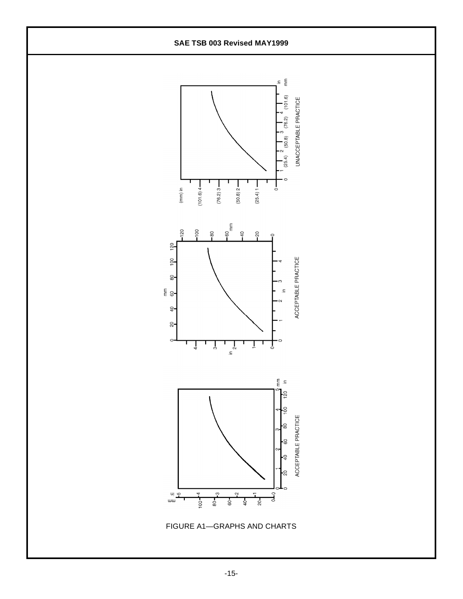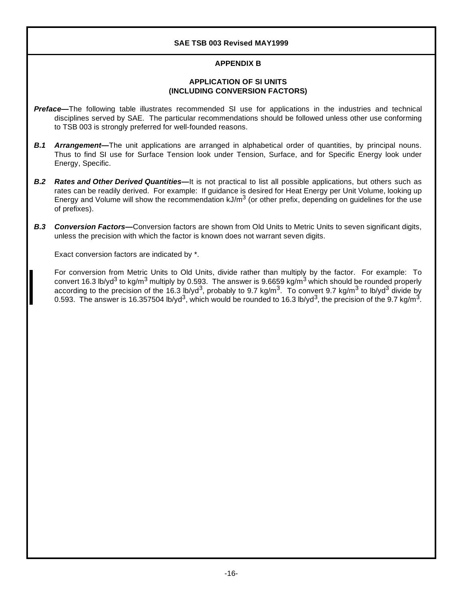# **APPENDIX B**

### **APPLICATION OF SI UNITS (INCLUDING CONVERSION FACTORS)**

- *Preface—* The following table illustrates recommended SI use for applications in the industries and technical disciplines served by SAE. The particular recommendations should be followed unless other use conforming to TSB 003 is strongly preferred for well-founded reasons.
- **B.1 Arrangement—The unit applications are arranged in alphabetical order of quantities, by principal nouns.** Thus to find SI use for Surface Tension look under Tension, Surface, and for Specific Energy look under Energy, Specific.
- **B.2 Rates and Other Derived Quantities—It** is not practical to list all possible applications, but others such as rates can be readily derived. For example: If guidance is desired for Heat Energy per Unit Volume, looking up Energy and Volume will show the recommendation kJ/m<sup>3</sup> (or other prefix, depending on guidelines for the use of prefixes).
- *B.3 Conversion Factors—* Conversion factors are shown from Old Units to Metric Units to seven significant digits, unless the precision with which the factor is known does not warrant seven digits.

Exact conversion factors are indicated by \*.

For conversion from Metric Units to Old Units, divide rather than multiply by the factor. For example: To convert 16.3 lb/yd<sup>3</sup> to kg/m<sup>3</sup> multiply by 0.593. The answer is 9.6659 kg/m<sup>3</sup> which should be rounded properly according to the precision of the 16.3 lb/yd<sup>3</sup>, probably to 9.7 kg/m<sup>3</sup>. To convert 9.7 kg/m<sup>3</sup> to lb/yd<sup>3</sup> divide by 0.593. The answer is 16.357504 lb/yd<sup>3</sup>, which would be rounded to 16.3 lb/yd<sup>3</sup>, the precision of the 9.7 kg/m<sup>3</sup>.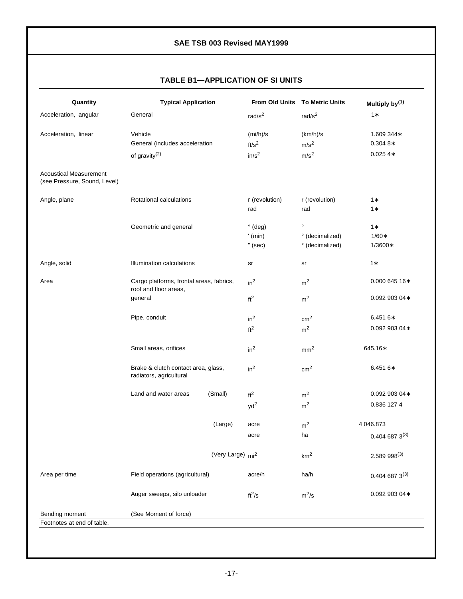# **TABLE B1— APPLICATION OF SI UNITS**

| Quantity                                                      | <b>Typical Application</b>                                        |                              |                    | From Old Units To Metric Units | Multiply by <sup>(1)</sup> |
|---------------------------------------------------------------|-------------------------------------------------------------------|------------------------------|--------------------|--------------------------------|----------------------------|
| Acceleration, angular                                         | General                                                           |                              | rad/s <sup>2</sup> | rad/s <sup>2</sup>             | $1*$                       |
| Acceleration, linear                                          | Vehicle                                                           |                              | (mi/h)/s           | (km/h)/s                       | 1.609 344*                 |
|                                                               | General (includes acceleration                                    |                              | $ft/s^2$           | m/s <sup>2</sup>               | $0.3048*$                  |
|                                                               | of gravity $(2)$                                                  |                              | in/s <sup>2</sup>  | m/s <sup>2</sup>               | $0.0254*$                  |
| <b>Acoustical Measurement</b><br>(see Pressure, Sound, Level) |                                                                   |                              |                    |                                |                            |
| Angle, plane                                                  | Rotational calculations                                           |                              | r (revolution)     | r (revolution)                 | $1*$                       |
|                                                               |                                                                   |                              | rad                | rad                            | $1*$                       |
|                                                               | Geometric and general                                             |                              | $\degree$ (deg)    | $\circ$                        | $1*$                       |
|                                                               |                                                                   |                              | $'$ (min)          | ° (decimalized)                | $1/60*$                    |
|                                                               |                                                                   |                              | $"$ (sec)          | ° (decimalized)                | 1/3600*                    |
| Angle, solid                                                  | Illumination calculations                                         |                              | sr                 | sr                             | $1*$                       |
| Area                                                          | Cargo platforms, frontal areas, fabrics,<br>roof and floor areas, |                              | in <sup>2</sup>    | m <sup>2</sup>                 | 0.000 645 16*              |
|                                                               | general                                                           |                              | ft <sup>2</sup>    | m <sup>2</sup>                 | 0.092 903 04*              |
|                                                               | Pipe, conduit                                                     |                              | in <sup>2</sup>    | cm <sup>2</sup>                | $6.4516*$                  |
|                                                               |                                                                   |                              | $\mathrm{ft}^2$    | m <sup>2</sup>                 | 0.092 903 04*              |
|                                                               | Small areas, orifices                                             |                              | in <sup>2</sup>    | $\text{mm}^2$                  | 645.16*                    |
|                                                               | Brake & clutch contact area, glass,<br>radiators, agricultural    |                              | in <sup>2</sup>    | cm <sup>2</sup>                | $6.4516*$                  |
|                                                               | Land and water areas                                              | (Small)                      | ft <sup>2</sup>    | m <sup>2</sup>                 | 0.092 903 04*              |
|                                                               |                                                                   |                              | $yd^2$             | m <sup>2</sup>                 | 0.836 127 4                |
|                                                               |                                                                   | (Large)                      | acre               | m <sup>2</sup>                 | 4 046.873                  |
|                                                               |                                                                   |                              | acre               | ha                             | 0.404 687 $3^{(3)}$        |
|                                                               |                                                                   | (Very Large) mi <sup>2</sup> |                    | km <sup>2</sup>                | $2.589998^{(3)}$           |
| Area per time                                                 | Field operations (agricultural)                                   |                              | acre/h             | ha/h                           | 0.404 687 $3^{(3)}$        |
|                                                               | Auger sweeps, silo unloader                                       |                              | $ft^2/s$           | $m^2/s$                        | 0.092 903 04*              |
| Bending moment                                                | (See Moment of force)                                             |                              |                    |                                |                            |
| Footnotes at end of table.                                    |                                                                   |                              |                    |                                |                            |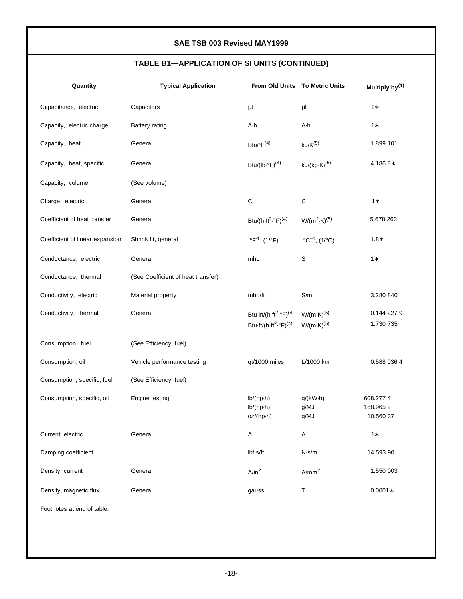| Quantity                        | <b>Typical Application</b>         |                                                                                                | From Old Units To Metric Units                 | Multiply by <sup>(1)</sup>        |
|---------------------------------|------------------------------------|------------------------------------------------------------------------------------------------|------------------------------------------------|-----------------------------------|
| Capacitance, electric           | Capacitors                         | μF                                                                                             | $\mu$ F                                        | $1*$                              |
| Capacity, electric charge       | Battery rating                     | A h                                                                                            | A-h                                            | $1*$                              |
| Capacity, heat                  | General                            | $B$ tu/ $\mathrm{F}^{(4)}$                                                                     | kJ/K <sup>(5)</sup>                            | 1.899 101                         |
| Capacity, heat, specific        | General                            | Btu/(lb $\cdot$ °F) <sup>(4)</sup>                                                             | $kJ/(kg·K)^{(5)}$                              | 4.1868*                           |
| Capacity, volume                | (See volume)                       |                                                                                                |                                                |                                   |
| Charge, electric                | General                            | $\mathsf C$                                                                                    | $\mathsf C$                                    | $1*$                              |
| Coefficient of heat transfer    | General                            | Btu/ $(h\cdot ft^2 \cdot \degree F)^{(4)}$                                                     | $W/(m^2 \cdot K)^{(5)}$                        | 5.678 263                         |
| Coefficient of linear expansion | Shrink fit, general                | $\mathrm{P}F^{-1}$ , (1/ $\mathrm{P}F$ )                                                       | $^{\circ}C^{-1}$ , (1/ $^{\circ}C$ )           | $1.8*$                            |
| Conductance, electric           | General                            | mho                                                                                            | $\mathbb S$                                    | $1*$                              |
| Conductance, thermal            | (See Coefficient of heat transfer) |                                                                                                |                                                |                                   |
| Conductivity, electric          | Material property                  | mho/ft                                                                                         | S/m                                            | 3.280 840                         |
| Conductivity, thermal           | General                            | Btu-in/(h-ft <sup>2</sup> .°F) <sup>(4)</sup><br>Btu-ft/(h-ft <sup>2</sup> .°F) <sup>(4)</sup> | $W/(m \cdot K)^{(5)}$<br>$W/(m \cdot K)^{(5)}$ | 0.144 227 9<br>1.730 735          |
| Consumption, fuel               | (See Efficiency, fuel)             |                                                                                                |                                                |                                   |
| Consumption, oil                | Vehicle performance testing        | qt/1000 miles                                                                                  | L/1000 km                                      | 0.588 036 4                       |
| Consumption, specific, fuel     | (See Efficiency, fuel)             |                                                                                                |                                                |                                   |
| Consumption, specific, oil      | Engine testing                     | $lb/(hp \cdot h)$<br>$lb/(hp \cdot h)$<br>oz/(hp-h)                                            | g/(kW·h)<br>g/MJ<br>g/MJ                       | 608.2774<br>168.9659<br>10.560 37 |
| Current, electric               | General                            | Α                                                                                              | $\mathsf A$                                    | $1*$                              |
| Damping coefficient             |                                    | lbf-s/ft                                                                                       | N·s/m                                          | 14.593 90                         |
| Density, current                | General                            | A/in <sup>2</sup>                                                                              | A/mm <sup>2</sup>                              | 1.550 003                         |
| Density, magnetic flux          | General                            | gauss                                                                                          | $\sf T$                                        | $0.0001*$                         |
| Footnotes at end of table.      |                                    |                                                                                                |                                                |                                   |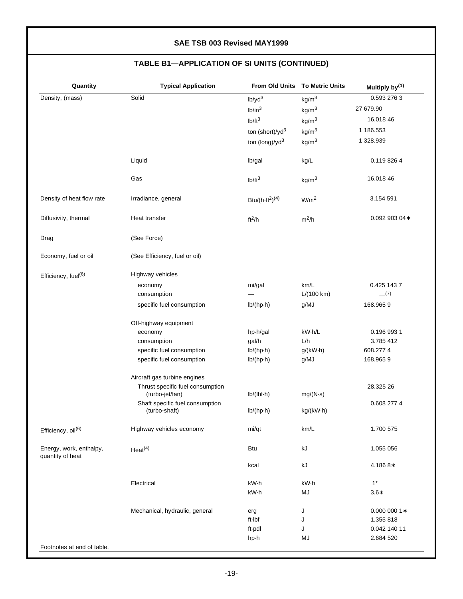| Quantity                                    | <b>Typical Application</b>                       |                             | From Old Units To Metric Units | Multiply by <sup>(1)</sup> |
|---------------------------------------------|--------------------------------------------------|-----------------------------|--------------------------------|----------------------------|
| Density, (mass)                             | Solid                                            | $lb$ /yd $3$                | kg/m <sup>3</sup>              | 0.593 276 3                |
|                                             |                                                  | lb/in <sup>3</sup>          | kg/m <sup>3</sup>              | 27 679.90                  |
|                                             |                                                  | Ib/ft <sup>3</sup>          | kg/m <sup>3</sup>              | 16.018 46                  |
|                                             |                                                  | ton (short)/yd <sup>3</sup> | kg/m <sup>3</sup>              | 1 186.553                  |
|                                             |                                                  | ton (long)/yd <sup>3</sup>  | kg/m <sup>3</sup>              | 1 328.939                  |
|                                             |                                                  |                             |                                |                            |
|                                             | Liquid                                           | lb/gal                      | kg/L                           | 0.119 826 4                |
|                                             | Gas                                              | Ib/ft <sup>3</sup>          | kg/m <sup>3</sup>              | 16.018 46                  |
| Density of heat flow rate                   | Irradiance, general                              | Btu/ $(h \cdot ft^2)^{(4)}$ | W/m <sup>2</sup>               | 3.154 591                  |
| Diffusivity, thermal                        | Heat transfer                                    | $ft^2/h$                    | $m^2/h$                        | 0.092 903 04*              |
| Drag                                        | (See Force)                                      |                             |                                |                            |
| Economy, fuel or oil                        | (See Efficiency, fuel or oil)                    |                             |                                |                            |
| Efficiency, fuel <sup>(6)</sup>             | Highway vehicles                                 |                             |                                |                            |
|                                             | economy                                          | mi/gal                      | km/L                           | 0.425 143 7                |
|                                             | consumption                                      |                             | L/(100 km)                     | $-^{(7)}$                  |
|                                             | specific fuel consumption                        | $lb/(hp \cdot h)$           | g/MJ                           | 168.9659                   |
|                                             | Off-highway equipment                            |                             |                                |                            |
|                                             | economy                                          | hp-h/gal                    | kW-h/L                         | 0.196 993 1                |
|                                             | consumption                                      | gal/h                       | L/h                            | 3.785 412                  |
|                                             | specific fuel consumption                        | $lb/(hp \cdot h)$           | g/(kW·h)                       | 608.277 4                  |
|                                             | specific fuel consumption                        | $lb/(hp \cdot h)$           | g/MJ                           | 168.9659                   |
|                                             | Aircraft gas turbine engines                     |                             |                                |                            |
|                                             | Thrust specific fuel consumption                 |                             |                                | 28.325 26                  |
|                                             | (turbo-jet/fan)                                  | lb/(lbf·h)                  | $mg/(N\cdot s)$                |                            |
|                                             | Shaft specific fuel consumption<br>(turbo-shaft) | lb/(hp-h)                   | kg/(kW·h)                      | 0.608 277 4                |
| Efficiency, oil <sup>(6)</sup>              | Highway vehicles economy                         | mi/qt                       | km/L                           | 1.700 575                  |
| Energy, work, enthalpy,<br>quantity of heat | Heat <sup>(4)</sup>                              | Btu                         | kJ                             | 1.055 056                  |
|                                             |                                                  | kcal                        | kJ                             | 4.1868*                    |
|                                             | Electrical                                       | kW·h                        | kW·h                           | $1*$                       |
|                                             |                                                  | kW·h                        | MJ                             | $3.6*$                     |
|                                             | Mechanical, hydraulic, general                   | erg                         | J                              | 0.000 000 1*               |
|                                             |                                                  | ft-Ibf                      | J                              | 1.355 818                  |
|                                             |                                                  | ft pdl                      | J                              | 0.042 140 11               |
|                                             |                                                  | hp-h                        | MJ                             | 2.684 520                  |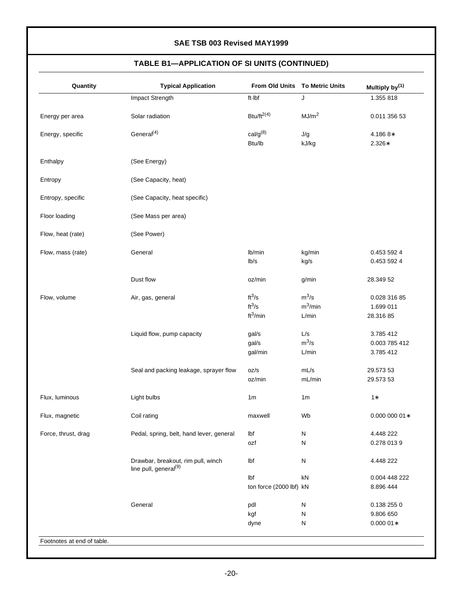| Quantity            | <b>Typical Application</b>                                              | <b>From Old Units To Metric Units</b> |                   | Multiply by <sup>(1)</sup> |
|---------------------|-------------------------------------------------------------------------|---------------------------------------|-------------------|----------------------------|
|                     | Impact Strength                                                         | ft-Ibf                                | J                 | 1.355 818                  |
| Energy per area     | Solar radiation                                                         | $Btu/ft^{2(4)}$                       | MJ/m <sup>2</sup> | 0.011 356 53               |
| Energy, specific    | General <sup>(4)</sup>                                                  | $cal/g^{(8)}$                         | J/g               | 4.1868*                    |
|                     |                                                                         | Btu/lb                                | kJ/kg             | 2.326*                     |
| Enthalpy            | (See Energy)                                                            |                                       |                   |                            |
| Entropy             | (See Capacity, heat)                                                    |                                       |                   |                            |
| Entropy, specific   | (See Capacity, heat specific)                                           |                                       |                   |                            |
| Floor loading       | (See Mass per area)                                                     |                                       |                   |                            |
| Flow, heat (rate)   | (See Power)                                                             |                                       |                   |                            |
| Flow, mass (rate)   | General                                                                 | lb/min                                | kg/min            | 0.453 592 4                |
|                     |                                                                         | lb/s                                  | kg/s              | 0.453 592 4                |
|                     | Dust flow                                                               | oz/min                                | g/min             | 28.349 52                  |
| Flow, volume        | Air, gas, general                                                       | $ft^3/s$                              | $m^3/s$           | 0.028 316 85               |
|                     |                                                                         | $ft^3/s$                              | $m^3/m$ in        | 1.699 011                  |
|                     |                                                                         | ft <sup>3</sup> /min                  | L/min             | 28.316 85                  |
|                     | Liquid flow, pump capacity                                              | gal/s                                 | L/s               | 3.785 412                  |
|                     |                                                                         | gal/s                                 | $m^3/s$           | 0.003 785 412              |
|                     |                                                                         | gal/min                               | L/min             | 3.785 412                  |
|                     | Seal and packing leakage, sprayer flow                                  | oz/s                                  | mL/s              | 29.573 53                  |
|                     |                                                                         | oz/min                                | mL/min            | 29.573 53                  |
| Flux, luminous      | Light bulbs                                                             | 1 <sub>m</sub>                        | 1 <sub>m</sub>    | $1*$                       |
| Flux, magnetic      | Coil rating                                                             | maxwell                               | Wb                | 0.000 000 01*              |
| Force, thrust, drag | Pedal, spring, belt, hand lever, general                                | Ibf                                   | N                 | 4.448 222                  |
|                     |                                                                         | ozf                                   | ${\sf N}$         | 0.278 013 9                |
|                     | Drawbar, breakout, rim pull, winch<br>line pull, general <sup>(9)</sup> | Ibf                                   | N                 | 4.448 222                  |
|                     |                                                                         | Ibf                                   | kN                | 0.004 448 222              |
|                     |                                                                         | ton force (2000 lbf) kN               |                   | 8.896 444                  |
|                     | General                                                                 | pdl                                   | N                 | 0.138 255 0                |
|                     |                                                                         | kgf                                   | N                 | 9.806 650                  |
|                     |                                                                         | dyne                                  | N                 | $0.00001*$                 |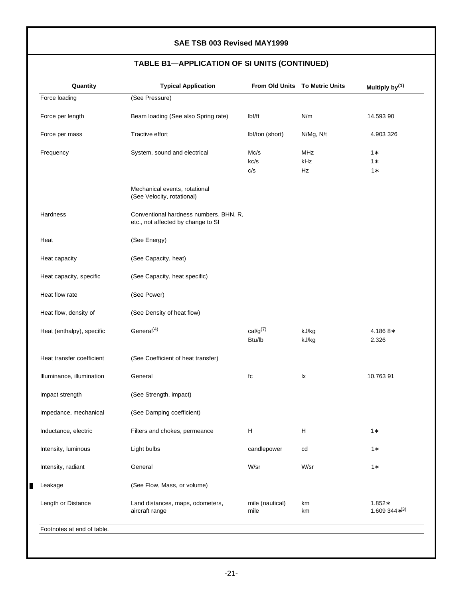# **TABLE B1— APPLICATION OF SI UNITS (CONTINUED)**

| Quantity                  | <b>Typical Application</b>                                                   |                                | <b>From Old Units To Metric Units</b> | Multiply by <sup>(1)</sup>  |
|---------------------------|------------------------------------------------------------------------------|--------------------------------|---------------------------------------|-----------------------------|
| Force loading             | (See Pressure)                                                               |                                |                                       |                             |
| Force per length          | Beam loading (See also Spring rate)                                          | lbf/ft                         | N/m                                   | 14.593 90                   |
| Force per mass            | Tractive effort                                                              | lbf/ton (short)                | N/Mg, N/t                             | 4.903 326                   |
| Frequency                 | System, sound and electrical                                                 | Mc/s<br>kc/s<br>c/s            | <b>MHz</b><br>kHz<br>Hz               | $1*$<br>$1*$<br>$1*$        |
|                           | Mechanical events, rotational<br>(See Velocity, rotational)                  |                                |                                       |                             |
| Hardness                  | Conventional hardness numbers, BHN, R,<br>etc., not affected by change to SI |                                |                                       |                             |
| Heat                      | (See Energy)                                                                 |                                |                                       |                             |
| Heat capacity             | (See Capacity, heat)                                                         |                                |                                       |                             |
| Heat capacity, specific   | (See Capacity, heat specific)                                                |                                |                                       |                             |
| Heat flow rate            | (See Power)                                                                  |                                |                                       |                             |
| Heat flow, density of     | (See Density of heat flow)                                                   |                                |                                       |                             |
| Heat (enthalpy), specific | General <sup>(4)</sup>                                                       | cal/g <sup>(7)</sup><br>Btu/lb | kJ/kg<br>kJ/kg                        | 4.1868*<br>2.326            |
| Heat transfer coefficient | (See Coefficient of heat transfer)                                           |                                |                                       |                             |
| Illuminance, illumination | General                                                                      | fc                             | Ιx                                    | 10.763 91                   |
| Impact strength           | (See Strength, impact)                                                       |                                |                                       |                             |
| Impedance, mechanical     | (See Damping coefficient)                                                    |                                |                                       |                             |
| Inductance, electric      | Filters and chokes, permeance                                                | Н                              | H                                     | $1*$                        |
| Intensity, luminous       | Light bulbs                                                                  | candlepower                    | cd                                    | $1*$                        |
| Intensity, radiant        | General                                                                      | W/sr                           | W/sr                                  | $1*$                        |
| Leakage                   | (See Flow, Mass, or volume)                                                  |                                |                                       |                             |
| Length or Distance        | Land distances, maps, odometers,<br>aircraft range                           | mile (nautical)<br>mile        | km<br>km                              | 1.852*<br>$1.609344^{*(3)}$ |

т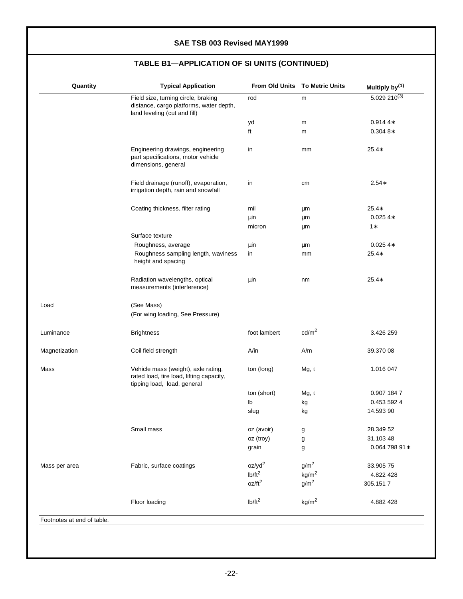| Quantity      | <b>Typical Application</b>                                                                                     |                    | From Old Units To Metric Units | Multiply by <sup>(1)</sup> |
|---------------|----------------------------------------------------------------------------------------------------------------|--------------------|--------------------------------|----------------------------|
|               | Field size, turning circle, braking<br>distance, cargo platforms, water depth,<br>land leveling (cut and fill) | rod                | m                              | $5.029210^{(3)}$           |
|               |                                                                                                                | yd                 | m                              | $0.9144*$                  |
|               |                                                                                                                | ft                 | m                              | $0.3048*$                  |
|               | Engineering drawings, engineering<br>part specifications, motor vehicle<br>dimensions, general                 | in                 | mm                             | $25.4*$                    |
|               | Field drainage (runoff), evaporation,<br>irrigation depth, rain and snowfall                                   | in                 | cm                             | $2.54*$                    |
|               | Coating thickness, filter rating                                                                               | mil                | μm                             | 25.4*                      |
|               |                                                                                                                | μin                | μm                             | $0.0254*$                  |
|               |                                                                                                                | micron             | μm                             | $1*$                       |
|               | Surface texture                                                                                                |                    |                                |                            |
|               | Roughness, average                                                                                             | μin                | μm                             | $0.0254*$                  |
|               | Roughness sampling length, waviness<br>height and spacing                                                      | in                 | mm                             | $25.4*$                    |
|               | Radiation wavelengths, optical<br>measurements (interference)                                                  | μiη                | nm                             | $25.4*$                    |
| Load          | (See Mass)<br>(For wing loading, See Pressure)                                                                 |                    |                                |                            |
| Luminance     | <b>Brightness</b>                                                                                              | foot lambert       | cd/m <sup>2</sup>              | 3.426 259                  |
| Magnetization | Coil field strength                                                                                            | A/in               | A/m                            | 39.370 08                  |
| Mass          | Vehicle mass (weight), axle rating,<br>rated load, tire load, lifting capacity,<br>tipping load, load, general | ton (long)         | Mg, t                          | 1.016 047                  |
|               |                                                                                                                | ton (short)        | Mg, t                          | 0.907 184 7                |
|               |                                                                                                                | Ib                 | kg                             | 0.453 592 4                |
|               |                                                                                                                | slug               | kg                             | 14.593 90                  |
|               | Small mass                                                                                                     | oz (avoir)         | g                              | 28.349 52                  |
|               |                                                                                                                | oz (troy)          | g                              | 31.103 48                  |
|               |                                                                                                                | grain              | g                              | 0.064 798 91*              |
| Mass per area | Fabric, surface coatings                                                                                       | $oz/yd^2$          | g/m <sup>2</sup>               | 33.905 75                  |
|               |                                                                                                                | Ib/ft <sup>2</sup> | kg/m <sup>2</sup>              | 4.822 428                  |
|               |                                                                                                                | $oz/ft^2$          | g/m <sup>2</sup>               | 305.1517                   |
|               | Floor loading                                                                                                  | Ib/ft <sup>2</sup> | kg/m <sup>2</sup>              | 4.882 428                  |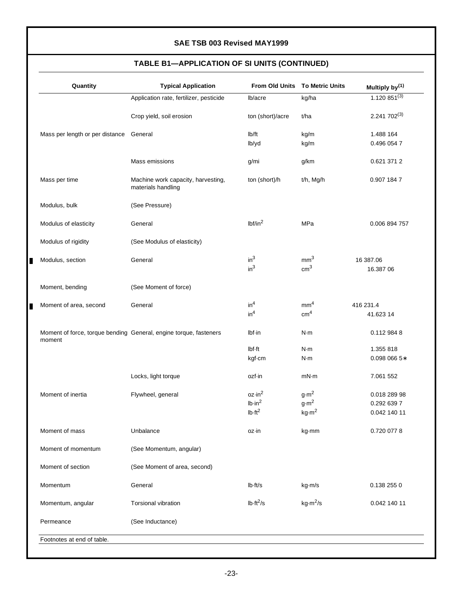| Quantity                        | <b>Typical Application</b>                                        | <b>From Old Units</b>      | <b>To Metric Units</b> | Multiply by <sup>(1)</sup> |
|---------------------------------|-------------------------------------------------------------------|----------------------------|------------------------|----------------------------|
|                                 | Application rate, fertilizer, pesticide                           | lb/acre                    | kg/ha                  | $1.120 851^{(3)}$          |
|                                 | Crop yield, soil erosion                                          | ton (short)/acre           | t/ha                   | $2.241702^{(3)}$           |
| Mass per length or per distance | General                                                           | lb/ft                      | kg/m                   | 1.488 164                  |
|                                 |                                                                   | lb/yd                      | kg/m                   | 0.496 054 7                |
|                                 | Mass emissions                                                    | g/mi                       | g/km                   | 0.621 371 2                |
| Mass per time                   | Machine work capacity, harvesting,<br>materials handling          | ton (short)/h              | t/h, Mg/h              | 0.907 184 7                |
| Modulus, bulk                   | (See Pressure)                                                    |                            |                        |                            |
| Modulus of elasticity           | General                                                           | Ibf/in <sup>2</sup>        | MPa                    | 0.006 894 757              |
| Modulus of rigidity             | (See Modulus of elasticity)                                       |                            |                        |                            |
| Modulus, section                | General                                                           | $in^3$                     | mm <sup>3</sup>        | 16 387.06                  |
|                                 |                                                                   | $in^3$                     | cm <sup>3</sup>        | 16.387 06                  |
| Moment, bending                 | (See Moment of force)                                             |                            |                        |                            |
| Moment of area, second          | General                                                           | in <sup>4</sup>            | $mm^4$                 | 416 231.4                  |
|                                 |                                                                   | in <sup>4</sup>            | cm <sup>4</sup>        | 41.623 14                  |
| moment                          | Moment of force, torque bending General, engine torque, fasteners | Ibf-in                     | N-m                    | 0.112 984 8                |
|                                 |                                                                   | lbf-ft                     | N-m                    | 1.355 818                  |
|                                 |                                                                   | kgf-cm                     | $N \cdot m$            | 0.098 066 5*               |
|                                 | Locks, light torque                                               | ozf-in                     | mN·m                   | 7.061 552                  |
| Moment of inertia               | Flywheel, general                                                 | $oz \cdot in^2$            | g·m <sup>2</sup>       | 0.018 289 98               |
|                                 |                                                                   | $Ib\cdot in^2$<br>$Ib-ft2$ | g·m <sup>2</sup>       | 0.292 639 7                |
|                                 |                                                                   |                            | kg·m <sup>2</sup>      | 0.042 140 11               |
| Moment of mass                  | Unbalance                                                         | oz-in                      | kg·mm                  | 0.720 077 8                |
| Moment of momentum              | (See Momentum, angular)                                           |                            |                        |                            |
| Moment of section               | (See Moment of area, second)                                      |                            |                        |                            |
| Momentum                        | General                                                           | lb·ft/s                    | kg·m/s                 | 0.138 255 0                |
| Momentum, angular               | <b>Torsional vibration</b>                                        | $Ib-ft^2/s$                | kg·m <sup>2</sup> /s   | 0.042 140 11               |
| Permeance                       | (See Inductance)                                                  |                            |                        |                            |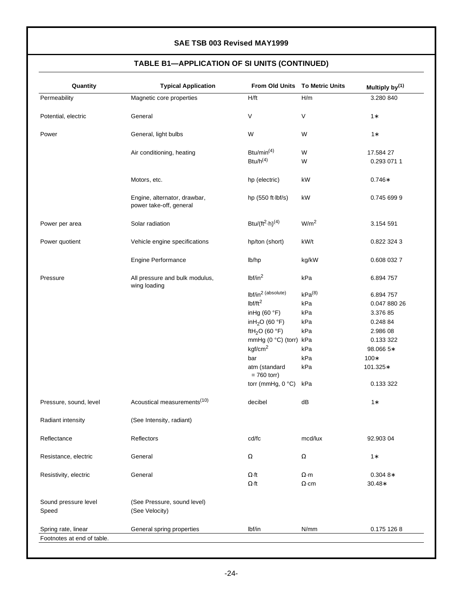| Quantity                   | <b>Typical Application</b>                              | From Old Units To Metric Units        |                  | Multiply by <sup>(1)</sup> |
|----------------------------|---------------------------------------------------------|---------------------------------------|------------------|----------------------------|
| Permeability               | Magnetic core properties                                | H/ft                                  | H/m              | 3.280 840                  |
| Potential, electric        | General                                                 | V                                     | $\vee$           | $1*$                       |
| Power                      | General, light bulbs                                    | W                                     | W                | $1*$                       |
|                            | Air conditioning, heating                               | Btu/min <sup>(4)</sup>                | W                | 17.584 27                  |
|                            |                                                         | $Btu/h^{(4)}$                         | W                | 0.293 071 1                |
|                            | Motors, etc.                                            | hp (electric)                         | kW               | $0.746*$                   |
|                            | Engine, alternator, drawbar,<br>power take-off, general | hp (550 ft-lbf/s)                     | kW               | 0.745 699 9                |
| Power per area             | Solar radiation                                         | Btu/( $ft^2 \cdot h$ ) <sup>(4)</sup> | W/m <sup>2</sup> | 3.154 591                  |
| Power quotient             | Vehicle engine specifications                           | hp/ton (short)                        | kW/t             | 0.822 324 3                |
|                            | Engine Performance                                      | lb/hp                                 | kg/kW            | 0.608 032 7                |
| Pressure                   | All pressure and bulk modulus,<br>wing loading          | lbf/in <sup>2</sup>                   | kPa              | 6.894 757                  |
|                            |                                                         | lbf/in <sup>2</sup> (absolute)        | $kPa^{(8)}$      | 6.894 757                  |
|                            |                                                         | $Ibf/ft^2$                            | kPa              | 0.047 880 26               |
|                            |                                                         | inHg (60 °F)                          | kPa              | 3.376 85                   |
|                            |                                                         | inH <sub>2</sub> O (60 $\degree$ F)   | kPa              | 0.248 84                   |
|                            |                                                         | ftH <sub>2</sub> O (60 °F)            | kPa              | 2.986 08                   |
|                            |                                                         | mmHg (0 °C) (torr) kPa                |                  | 0.133 322                  |
|                            |                                                         | kgf/cm <sup>2</sup>                   | kPa              | 98.066 5*                  |
|                            |                                                         | bar                                   | kPa              | 100*                       |
|                            |                                                         | atm (standard<br>$= 760$ torr)        | kPa              | 101.325*                   |
|                            |                                                         | torr (mmHg, $0 °C$ )                  | kPa              | 0.133 322                  |
| Pressure, sound, level     | Acoustical measurements <sup>(10)</sup>                 | decibel                               | dB               | $1*$                       |
| Radiant intensity          | (See Intensity, radiant)                                |                                       |                  |                            |
| Reflectance                | Reflectors                                              | cd/fc                                 | mcd/lux          | 92.903 04                  |
| Resistance, electric       | General                                                 | $\Omega$                              | $\Omega$         | $1*$                       |
| Resistivity, electric      | General                                                 | $\Omega$ -ft                          | $\Omega \cdot m$ | $0.3048*$                  |
|                            |                                                         | $\Omega$ -ft                          | $\Omega$ ·cm     | 30.48*                     |
| Sound pressure level       | (See Pressure, sound level)                             |                                       |                  |                            |
| Speed                      | (See Velocity)                                          |                                       |                  |                            |
| Spring rate, linear        | General spring properties                               | lbf/in                                | N/mm             | 0.175 126 8                |
| Footnotes at end of table. |                                                         |                                       |                  |                            |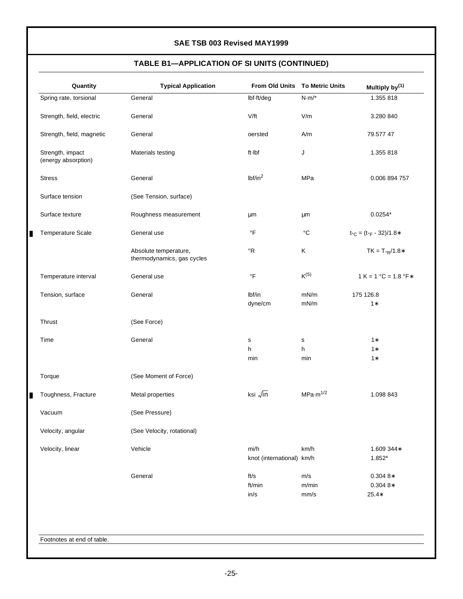| Quantity                                | <b>Typical Application</b>                          | <b>From Old Units</b>             | <b>To Metric Units</b> | Multiply by <sup>(1)</sup>             |
|-----------------------------------------|-----------------------------------------------------|-----------------------------------|------------------------|----------------------------------------|
| Spring rate, torsional                  | General                                             | lbf-ft/deg                        | $N \cdot m$ /*         | 1.355 818                              |
| Strength, field, electric               | General                                             | V/ft                              | V/m                    | 3.280 840                              |
| Strength, field, magnetic               | General                                             | oersted                           | A/m                    | 79.577 47                              |
| Strength, impact<br>(energy absorption) | Materials testing                                   | ft-Ibf                            | J                      | 1.355 818                              |
| <b>Stress</b>                           | General                                             | Ibf/in <sup>2</sup>               | MPa                    | 0.006 894 757                          |
| Surface tension                         | (See Tension, surface)                              |                                   |                        |                                        |
| Surface texture                         | Roughness measurement                               | μm                                | μm                     | $0.0254*$                              |
| Temperature Scale                       | General use                                         | $\circ$ F                         | $^{\circ}C$            | $t_{\circ}$ = ( $t_{\circ}$ - 32)/1.8* |
|                                         | Absolute temperature,<br>thermodynamics, gas cycles | °R                                | Κ                      | $TK = T_{P} / 1.8*$                    |
| Temperature interval                    | General use                                         | $\,^{\circ}\mathsf{F}$            | $K^{(5)}$              | $1 K = 1 °C = 1.8 °F*$                 |
| Tension, surface                        | General                                             | lbf/in<br>dyne/cm                 | mN/m<br>mN/m           | 175 126.8<br>$1*$                      |
| Thrust                                  | (See Force)                                         |                                   |                        |                                        |
| Time                                    | General                                             | s<br>h<br>min                     | s<br>h<br>min          | $1*$<br>$1*$<br>$1*$                   |
| Torque                                  | (See Moment of Force)                               |                                   |                        |                                        |
| Toughness, Fracture                     | Metal properties                                    | ksi $\sqrt{in}$                   | MPa·m <sup>1/2</sup>   | 1.098 843                              |
| Vacuum                                  | (See Pressure)                                      |                                   |                        |                                        |
| Velocity, angular                       | (See Velocity, rotational)                          |                                   |                        |                                        |
| Velocity, linear                        | Vehicle                                             | mi/h<br>knot (international) km/h | km/h                   | 1.609 344*<br>1.852*                   |
|                                         | General                                             | ft/s<br>ft/min<br>in/s            | m/s<br>m/min<br>mm/s   | $0.3048*$<br>$0.3048*$<br>25.4*        |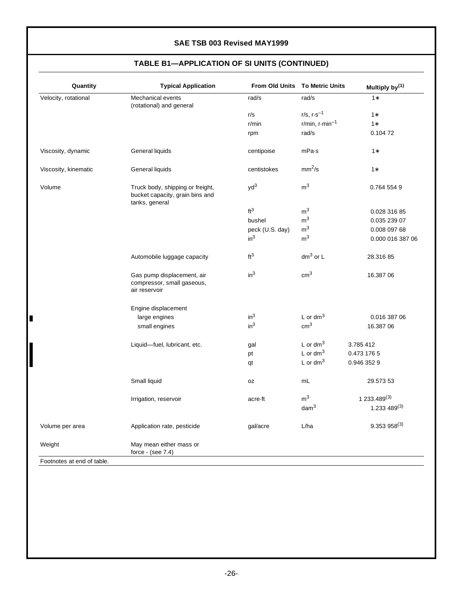| Quantity             | <b>Typical Application</b>                                                            |                 | From Old Units To Metric Units | Multiply by <sup>(1)</sup> |
|----------------------|---------------------------------------------------------------------------------------|-----------------|--------------------------------|----------------------------|
| Velocity, rotational | <b>Mechanical events</b><br>(rotational) and general                                  | rad/s           | rad/s                          | $1*$                       |
|                      |                                                                                       | r/s             | $r/s, r·s^{-1}$                | $1*$                       |
|                      |                                                                                       | r/min           | $r/min, r-min-1$               | $1*$                       |
|                      |                                                                                       | rpm             | rad/s                          | 0.10472                    |
| Viscosity, dynamic   | General liquids                                                                       | centipoise      | mPa-s                          | $1*$                       |
| Viscosity, kinematic | General liquids                                                                       | centistokes     | mm <sup>2</sup> /s             | $1*$                       |
| Volume               | Truck body, shipping or freight,<br>bucket capacity, grain bins and<br>tanks, general | $yd^3$          | m <sup>3</sup>                 | 0.764 554 9                |
|                      |                                                                                       | ft <sup>3</sup> | m <sup>3</sup>                 | 0.028 316 85               |
|                      |                                                                                       | bushel          | m <sup>3</sup>                 | 0.035 239 07               |
|                      |                                                                                       | peck (U.S. day) | m <sup>3</sup>                 | 0.008 097 68               |
|                      |                                                                                       | in <sup>3</sup> | m <sup>3</sup>                 | 0.000 016 387 06           |
|                      | Automobile luggage capacity                                                           | ft <sup>3</sup> | $dm3$ or L                     | 28.316 85                  |
|                      | Gas pump displacement, air<br>compressor, small gaseous,<br>air reservoir             | in <sup>3</sup> | cm <sup>3</sup>                | 16.387 06                  |
|                      | Engine displacement                                                                   |                 |                                |                            |
|                      | large engines                                                                         | $in^3$          | L or dm <sup>3</sup>           | 0.016 387 06               |
|                      | small engines                                                                         | in <sup>3</sup> | $\text{cm}^3$                  | 16.387 06                  |
|                      | Liquid-fuel, lubricant, etc.                                                          | gal             | L or dm <sup>3</sup>           | 3.785 412                  |
|                      |                                                                                       | pt              | L or $dm3$                     | 0.473 176 5                |
|                      |                                                                                       | qt              | L or dm <sup>3</sup>           | 0.946 352 9                |
|                      | Small liquid                                                                          | 0Z              | mL                             | 29.573 53                  |
|                      | Irrigation, reservoir                                                                 | acre-ft         | m <sup>3</sup>                 | 1 233.489 $(3)$            |
|                      |                                                                                       |                 | $\text{dam}^3$                 | 1.233 489 $(3)$            |
| Volume per area      | Application rate, pesticide                                                           | gal/acre        | L/ha                           | $9.353958^{(3)}$           |
| Weight               | May mean either mass or<br>force - $(see 7.4)$                                        |                 |                                |                            |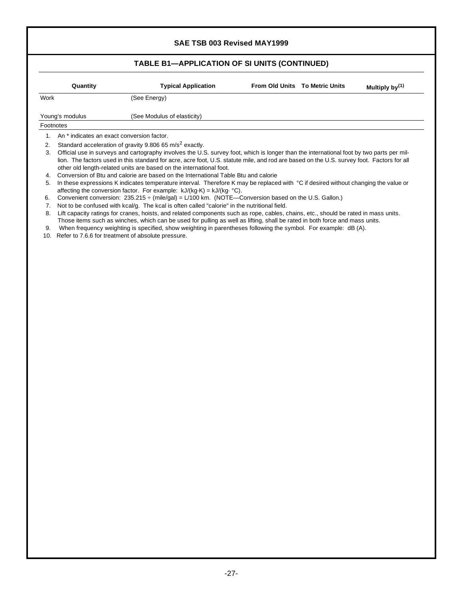### **TABLE B1— APPLICATION OF SI UNITS (CONTINUED)**

| Quantity        | <b>Typical Application</b>                 | <b>From Old Units To Metric Units</b> | Multiply by $(1)$ |
|-----------------|--------------------------------------------|---------------------------------------|-------------------|
| Work            | (See Energy)                               |                                       |                   |
| Young's modulus | (See Modulus of elasticity)                |                                       |                   |
| Footnotes       |                                            |                                       |                   |
|                 | An * indicates an exact conversion factor. |                                       |                   |

2. Standard acceleration of gravity  $9.80665$  m/s<sup>2</sup> exactly.

3. Official use in surveys and cartography involves the U.S. survey foot, which is longer than the international foot by two parts per million. The factors used in this standard for acre, acre foot, U.S. statute mile, and rod are based on the U.S. survey foot. Factors for all other old length-related units are based on the international foot.

4. Conversion of Btu and calorie are based on the International Table Btu and calorie

5. In these expressions K indicates temperature interval. Therefore K may be replaced with °C if desired without changing the value or affecting the conversion factor. For example:  $kJ/(kg·K) = kJ/(kg·°C)$ .

6. Convenient conversion: 235.215 ÷ (mile/gal) = L/100 km. (NOTE— Conversion based on the U.S. Gallon.)

7. Not to be confused with kcal/g. The kcal is often called "calorie" in the nutritional field.

8. Lift capacity ratings for cranes, hoists, and related components such as rope, cables, chains, etc., should be rated in mass units. Those items such as winches, which can be used for pulling as well as lifting, shall be rated in both force and mass units.

9. When frequency weighting is specified, show weighting in parentheses following the symbol. For example: dB (A).

10. Refer to 7.6.6 for treatment of absolute pressure.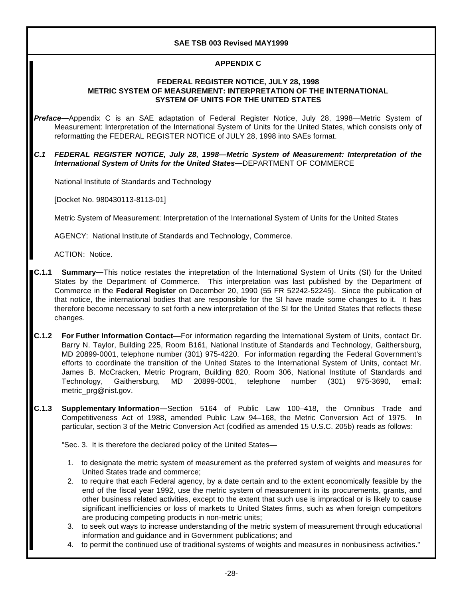### **APPENDIX C**

### **FEDERAL REGISTER NOTICE, JULY 28, 1998 METRIC SYSTEM OF MEASUREMENT: INTERPRETATION OF THE INTERNATIONAL SYSTEM OF UNITS FOR THE UNITED STATES**

*Preface—* Appendix C is an SAE adaptation of Federal Register Notice, July 28, 1998— Metric System of Measurement: Interpretation of the International System of Units for the United States, which consists only of reformatting the FEDERAL REGISTER NOTICE of JULY 28, 1998 into SAEs format.

### *C.1 FEDERAL REGISTER NOTICE, July 28, 1998— Metric System of Measurement: Interpretation of the International System of Units for the United States—* DEPARTMENT OF COMMERCE

National Institute of Standards and Technology

[Docket No. 980430113-8113-01]

Metric System of Measurement: Interpretation of the International System of Units for the United States

AGENCY: National Institute of Standards and Technology, Commerce.

ACTION: Notice.

- **C.1.1 Summary—** This notice restates the intepretation of the International System of Units (SI) for the United States by the Department of Commerce. This interpretation was last published by the Department of Commerce in the **Federal Register** on December 20, 1990 (55 FR 52242-52245). Since the publication of that notice, the international bodies that are responsible for the SI have made some changes to it. It has therefore become necessary to set forth a new interpretation of the SI for the United States that reflects these changes.
- **C.1.2 For Futher Information Contact—** For information regarding the International System of Units, contact Dr. Barry N. Taylor, Building 225, Room B161, National Institute of Standards and Technology, Gaithersburg, MD 20899-0001, telephone number (301) 975-4220. For information regarding the Federal Government's efforts to coordinate the transition of the United States to the International System of Units, contact Mr. James B. McCracken, Metric Program, Building 820, Room 306, National Institute of Standards and Technology, Gaithersburg, MD 20899-0001, telephone number (301) 975-3690, email: metric\_prg@nist.gov.
- **C.1.3 Supplementary Information—** Section 5164 of Public Law 100–418, the Omnibus Trade and Competitiveness Act of 1988, amended Public Law 94–168, the Metric Conversion Act of 1975. In particular, section 3 of the Metric Conversion Act (codified as amended 15 U.S.C. 205b) reads as follows:

"Sec. 3. It is therefore the declared policy of the United States—

- 1. to designate the metric system of measurement as the preferred system of weights and measures for United States trade and commerce;
- 2. to require that each Federal agency, by a date certain and to the extent economically feasible by the end of the fiscal year 1992, use the metric system of measurement in its procurements, grants, and other business related activities, except to the extent that such use is impractical or is likely to cause significant inefficiencies or loss of markets to United States firms, such as when foreign competitors are producing competing products in non-metric units;
- 3. to seek out ways to increase understanding of the metric system of measurement through educational information and guidance and in Government publications; and
- 4. to permit the continued use of traditional systems of weights and measures in nonbusiness activities."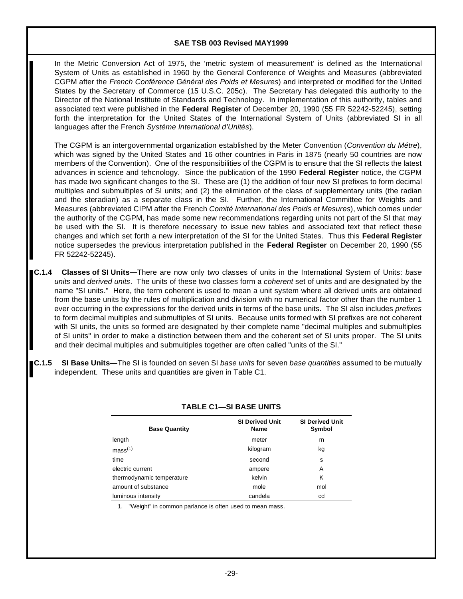In the Metric Conversion Act of 1975, the 'metric system of measurement' is defined as the International System of Units as established in 1960 by the General Conference of Weights and Measures (abbreviated CGPM after the *French Conférence Général des Poids et Mesures*) and interpreted or modified for the United States by the Secretary of Commerce (15 U.S.C. 205c). The Secretary has delegated this authority to the Director of the National Institute of Standards and Technology. In implementation of this authority, tables and associated text were published in the **Federal Register** of December 20, 1990 (55 FR 52242-52245), setting forth the interpretation for the United States of the International System of Units (abbreviated SI in all languages after the French *Systéme International d'Unités*).

The CGPM is an intergovernmental organization established by the Meter Convention (*Convention du Métre*), which was signed by the United States and 16 other countries in Paris in 1875 (nearly 50 countries are now members of the Convention). One of the responsibilities of the CGPM is to ensure that the SI reflects the latest advances in science and tehcnology. Since the publication of the 1990 **Federal Register** notice, the CGPM has made two significant changes to the SI. These are (1) the addition of four new SI prefixes to form decimal multiples and submultiples of SI units; and (2) the elimination of the class of supplementary units (the radian and the steradian) as a separate class in the SI. Further, the International Committee for Weights and Measures (abbreviated CIPM after the French *Comité International des Poids et Mesures*), which comes under the authority of the CGPM, has made some new recommendations regarding units not part of the SI that may be used with the SI. It is therefore necessary to issue new tables and associated text that reflect these changes and which set forth a new interpretation of the SI for the United States. Thus this **Federal Register** notice supersedes the previous interpretation published in the **Federal Register** on December 20, 1990 (55 FR 52242-52245).

- **C.1.4 Classes of SI Units—** There are now only two classes of units in the International System of Units: *base units* and *derived units*. The units of these two classes form a *coherent* set of units and are designated by the name "SI units." Here, the term coherent is used to mean a unit system where all derived units are obtained from the base units by the rules of multiplication and division with no numerical factor other than the number 1 ever occurring in the expressions for the derived units in terms of the base units. The SI also includes *prefixes* to form decimal multiples and submultiples of SI units. Because units formed with SI prefixes are not coherent with SI units, the units so formed are designated by their complete name "decimal multiples and submultiples of SI units" in order to make a distinction between them and the coherent set of SI units proper. The SI units and their decimal multiples and submultiples together are often called "units of the SI."
- **C.1.5 SI Base Units—** The SI is founded on seven SI *base units* for seven *base quantities* assumed to be mutually independent. These units and quantities are given in Table C1.

| <b>Base Quantity</b>      | <b>SI Derived Unit</b><br><b>Name</b> | <b>SI Derived Unit</b><br>Symbol |
|---------------------------|---------------------------------------|----------------------------------|
| length                    | meter                                 | m                                |
| mass <sup>(1)</sup>       | kilogram                              | kg                               |
| time                      | second                                | s                                |
| electric current          | ampere                                | A                                |
| thermodynamic temperature | kelvin                                | Κ                                |
| amount of substance       | mole                                  | mol                              |
| luminous intensity        | candela                               | cd                               |

#### **TABLE C1— SI BASE UNITS**

1. "Weight" in common parlance is often used to mean mass.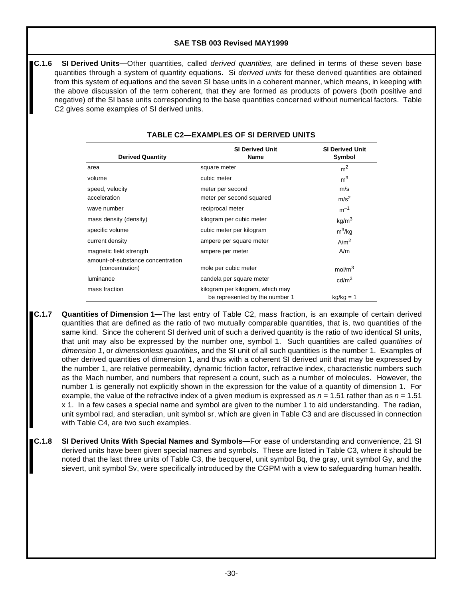**C.1.6 SI Derived Units—** Other quantities, called *derived quantities*, are defined in terms of these seven base quantities through a system of quantity equations. Si *derived units* for these derived quantities are obtained from this system of equations and the seven SI base units in a coherent manner, which means, in keeping with the above discussion of the term coherent, that they are formed as products of powers (both positive and negative) of the SI base units corresponding to the base quantities concerned without numerical factors. Table C2 gives some examples of SI derived units.

| <b>Derived Quantity</b>                              | <b>SI Derived Unit</b><br><b>Name</b>                              | <b>SI Derived Unit</b><br>Symbol |
|------------------------------------------------------|--------------------------------------------------------------------|----------------------------------|
| area                                                 | square meter                                                       | m <sup>2</sup>                   |
| volume                                               | cubic meter                                                        | m <sup>3</sup>                   |
| speed, velocity                                      | meter per second                                                   | m/s                              |
| acceleration                                         | meter per second squared                                           | m/s <sup>2</sup>                 |
| wave number                                          | reciprocal meter                                                   | $m^{-1}$                         |
| mass density (density)                               | kilogram per cubic meter                                           | kg/m <sup>3</sup>                |
| specific volume                                      | cubic meter per kilogram                                           | $m^3/kg$                         |
| current density                                      | ampere per square meter                                            | A/m <sup>2</sup>                 |
| magnetic field strength                              | ampere per meter                                                   | A/m                              |
| amount-of-substance concentration<br>(concentration) | mole per cubic meter                                               | mol/m <sup>3</sup>               |
| luminance                                            | candela per square meter                                           | cd/m <sup>2</sup>                |
| mass fraction                                        | kilogram per kilogram, which may<br>be represented by the number 1 | $kg/kg = 1$                      |

### **TABLE C2— EXAMPLES OF SI DERIVED UNITS**

- **C.1.7 Quantities of Dimension 1—** The last entry of Table C2, mass fraction, is an example of certain derived quantities that are defined as the ratio of two mutually comparable quantities, that is, two quantities of the same kind. Since the coherent SI derived unit of such a derived quantity is the ratio of two identical SI units, that unit may also be expressed by the number one, symbol 1. Such quantities are called *quantities of dimension 1*, or *dimensionless quantities*, and the SI unit of all such quantities is the number 1. Examples of other derived quantities of dimension 1, and thus with a coherent SI derived unit that may be expressed by the number 1, are relative permeability, dynamic friction factor, refractive index, characteristic numbers such as the Mach number, and numbers that represent a count, such as a number of molecules. However, the number 1 is generally not explicitly shown in the expression for the value of a quantity of dimension 1. For example, the value of the refractive index of a given medium is expressed as *n* = 1.51 rather than as *n* = 1.51 x 1. In a few cases a special name and symbol are given to the number 1 to aid understanding. The radian, unit symbol rad, and steradian, unit symbol sr, which are given in Table C3 and are discussed in connection with Table C4, are two such examples.
- **C.1.8 SI Derived Units With Special Names and Symbols—** For ease of understanding and convenience, 21 SI derived units have been given special names and symbols. These are listed in Table C3, where it should be noted that the last three units of Table C3, the becquerel, unit symbol Bq, the gray, unit symbol Gy, and the sievert, unit symbol Sv, were specifically introduced by the CGPM with a view to safeguarding human health.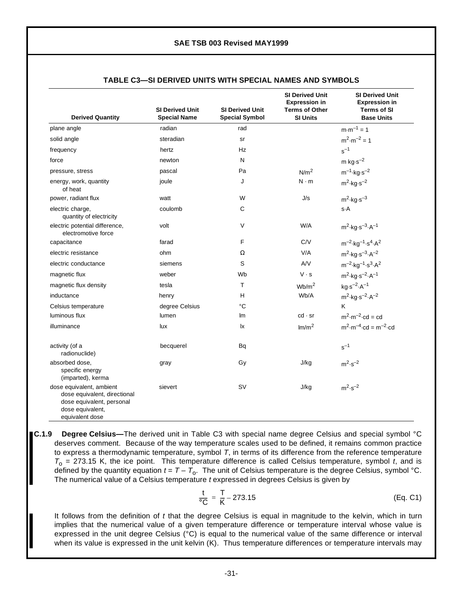| <b>Derived Quantity</b>                                                                                                      | <b>SI Derived Unit</b><br><b>Special Name</b> | <b>SI Derived Unit</b><br><b>Special Symbol</b> | <b>SI Derived Unit</b><br><b>Expression in</b><br><b>Terms of Other</b><br><b>SI Units</b> | <b>SI Derived Unit</b><br><b>Expression in</b><br><b>Terms of SI</b><br><b>Base Units</b> |
|------------------------------------------------------------------------------------------------------------------------------|-----------------------------------------------|-------------------------------------------------|--------------------------------------------------------------------------------------------|-------------------------------------------------------------------------------------------|
| plane angle                                                                                                                  | radian                                        | rad                                             |                                                                                            | $m \cdot m^{-1} = 1$                                                                      |
| solid angle                                                                                                                  | steradian                                     | sr                                              |                                                                                            | $m^2 \cdot m^{-2} = 1$                                                                    |
| frequency                                                                                                                    | hertz                                         | Hz                                              |                                                                                            | $s^{-1}$                                                                                  |
| force                                                                                                                        | newton                                        | N                                               |                                                                                            | m $kg·s^{-2}$                                                                             |
| pressure, stress                                                                                                             | pascal                                        | Pa                                              | N/m <sup>2</sup>                                                                           | $m^{-1}$ kg $s^{-2}$                                                                      |
| energy, work, quantity<br>of heat                                                                                            | joule                                         | J                                               | $N \cdot m$                                                                                | $m^2$ -kg-s <sup>-2</sup>                                                                 |
| power, radiant flux                                                                                                          | watt                                          | W                                               | J/s                                                                                        | $m^2$ -kg-s <sup>-3</sup>                                                                 |
| electric charge,<br>quantity of electricity                                                                                  | coulomb                                       | C                                               |                                                                                            | s.A                                                                                       |
| electric potential difference,<br>electromotive force                                                                        | volt                                          | V                                               | W/A                                                                                        | $m^2$ kg s <sup>-3</sup> A <sup>-1</sup>                                                  |
| capacitance                                                                                                                  | farad                                         | F                                               | C/V                                                                                        | $m^{-2}$ kg <sup>-1</sup> s <sup>4</sup> A <sup>2</sup>                                   |
| electric resistance                                                                                                          | ohm                                           | Ω                                               | V/A                                                                                        | $m^2$ kg s <sup>-3</sup> A <sup>-2</sup>                                                  |
| electric conductance                                                                                                         | siemens                                       | S                                               | AVV                                                                                        | $m^{-2}$ kg <sup>-1</sup> s <sup>3</sup> A <sup>2</sup>                                   |
| magnetic flux                                                                                                                | weber                                         | Wb                                              | $V \cdot s$                                                                                | $m^2$ kg $s^{-2}$ $A^{-1}$                                                                |
| magnetic flux density                                                                                                        | tesla                                         | T                                               | Wb/m <sup>2</sup>                                                                          | $kg·s^{-2}·A^{-1}$                                                                        |
| inductance                                                                                                                   | henry                                         | Н                                               | Wb/A                                                                                       | $m^2$ kg $s^{-2}$ $A^{-2}$                                                                |
| Celsius temperature                                                                                                          | degree Celsius                                | °C                                              |                                                                                            | K                                                                                         |
| luminous flux                                                                                                                | lumen                                         | Im                                              | cd · sr                                                                                    | $m^2 \cdot m^{-2} \cdot cd = cd$                                                          |
| illuminance                                                                                                                  | lux                                           | Ιx                                              | Im/m <sup>2</sup>                                                                          | $m^2 \cdot m^{-4} \cdot cd = m^{-2} \cdot cd$                                             |
| activity (of a<br>radionuclide)                                                                                              | becquerel                                     | <b>Bq</b>                                       |                                                                                            | $s^{-1}$                                                                                  |
| absorbed dose,<br>specific energy<br>(imparted), kerma                                                                       | gray                                          | Gy                                              | J/kg                                                                                       | $m^2 \, s^{-2}$                                                                           |
| dose equivalent, ambient<br>dose equivalent, directional<br>dose equivalent, personal<br>dose equivalent,<br>equivalent dose | sievert                                       | <b>SV</b>                                       | J/kg                                                                                       | $m^2 \text{ s}^{-2}$                                                                      |

#### **TABLE C3— SI DERIVED UNITS WITH SPECIAL NAMES AND SYMBOLS**

**C.1.9 Degree Celsius—** The derived unit in Table C3 with special name degree Celsius and special symbol °C deserves comment. Because of the way temperature scales used to be defined, it remains common practice to express a thermodynamic temperature, symbol *T*, in terms of its difference from the reference temperature *T*o = 273.15 K, the ice point. This temperature difference is called Celsius temperature, symbol *t*, and is defined by the quantity equation *t* = *T – T*<sup>o</sup> . The unit of Celsius temperature is the degree Celsius, symbol °C. The numerical value of a Celsius temperature *t* expressed in degrees Celsius is given by

$$
\frac{t}{\circ C} = \frac{T}{K} - 273.15
$$
 (Eq. C1)

It follows from the definition of *t* that the degree Celsius is equal in magnitude to the kelvin, which in turn implies that the numerical value of a given temperature difference or temperature interval whose value is expressed in the unit degree Celsius (°C) is equal to the numerical value of the same difference or interval when its value is expressed in the unit kelvin (K). Thus temperature differences or temperature intervals may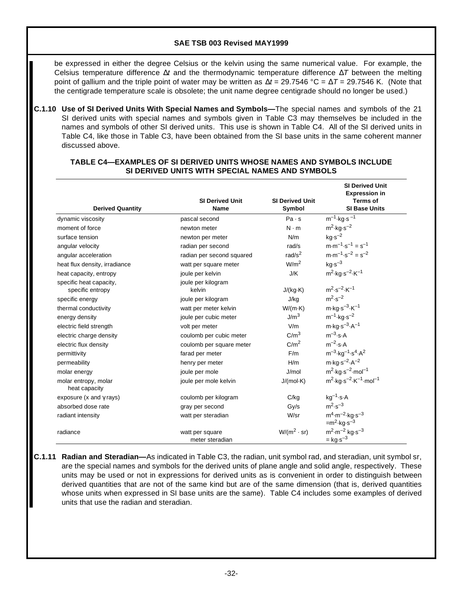be expressed in either the degree Celsius or the kelvin using the same numerical value. For example, the Celsius temperature difference Δ*t* and the thermodynamic temperature difference Δ*T* between the melting point of gallium and the triple point of water may be written as Δ*t* = 29.7546 °C = Δ*T* = 29.7546 K. (Note that the centigrade temperature scale is obsolete; the unit name degree centigrade should no longer be used.)

**C.1.10 Use of SI Derived Units With Special Names and Symbols—** The special names and symbols of the 21 SI derived units with special names and symbols given in Table C3 may themselves be included in the names and symbols of other SI derived units. This use is shown in Table C4. All of the SI derived units in Table C4, like those in Table C3, have been obtained from the SI base units in the same coherent manner discussed above.

| <b>Derived Quantity</b>                     | <b>SI Derived Unit</b><br><b>Name</b> | <b>SI Derived Unit</b><br>Symbol | <b>SI Derived Unit</b><br><b>Expression in</b><br>Terms of<br><b>SI Base Units</b> |
|---------------------------------------------|---------------------------------------|----------------------------------|------------------------------------------------------------------------------------|
| dynamic viscosity                           | pascal second                         | Pa·s                             | $m^{-1}$ kg s $^{-1}$                                                              |
| moment of force                             | newton meter                          | $N \cdot m$                      | $m^2$ kg s <sup>-2</sup>                                                           |
| surface tension                             | newton per meter                      | N/m                              | $kg·s^{-2}$                                                                        |
| angular velocity                            | radian per second                     | rad/s                            | $m \cdot m^{-1} \cdot s^{-1} = s^{-1}$                                             |
| angular acceleration                        | radian per second squared             | rad/ $s^2$                       | $m \cdot m^{-1} \cdot s^{-2} = s^{-2}$                                             |
| heat flux density, irradiance               | watt per square meter                 | W/m <sup>2</sup>                 | $kg·s-3$                                                                           |
| heat capacity, entropy                      | joule per kelvin                      | J/K                              | $m^2$ kg s <sup>-2</sup> K <sup>-1</sup>                                           |
| specific heat capacity,<br>specific entropy | joule per kilogram<br>kelvin          | J/(kg·K)                         | $m^2$ s <sup>-2</sup> K <sup>-1</sup>                                              |
| specific energy                             | joule per kilogram                    | J/kg                             | $m^2$ .s <sup>-2</sup>                                                             |
| thermal conductivity                        | watt per meter kelvin                 | $W/(m \cdot K)$                  | $m \cdot kg \cdot s^{-3} \cdot K^{-1}$                                             |
| energy density                              | joule per cubic meter                 | J/m <sup>3</sup>                 | $m^{-1}$ kg $s^{-2}$                                                               |
| electric field strength                     | volt per meter                        | V/m                              | $m \cdot kg \cdot s^{-3} \cdot A^{-1}$                                             |
| electric charge density                     | coulomb per cubic meter               | C/m <sup>3</sup>                 | $m^{-3}$ -s-A                                                                      |
| electric flux density                       | coulomb per square meter              | C/m <sup>2</sup>                 | $m^{-2}$ s.A                                                                       |
| permittivity                                | farad per meter                       | F/m                              | $m^{-3}$ kg <sup>-1</sup> s <sup>4</sup> A <sup>2</sup>                            |
| permeability                                | henry per meter                       | H/m                              | $m \cdot kg \cdot s^{-2} \cdot A^{-2}$                                             |
| molar energy                                | joule per mole                        | J/mol                            | $m^2$ kg s <sup>-2</sup> mol <sup>-1</sup>                                         |
| molar entropy, molar<br>heat capacity       | joule per mole kelvin                 | J/(mol·K)                        | $m^2$ kg s <sup>-2</sup> K <sup>-1</sup> mol <sup>-1</sup>                         |
| exposure (x and $\gamma$ rays)              | coulomb per kilogram                  | C/kg                             | $ka^{-1}$ s A                                                                      |
| absorbed dose rate                          | gray per second                       | Gy/s                             | $m^2 \, s^{-3}$                                                                    |
| radiant intensity                           | watt per steradian                    | W/sr                             | $m^4 \cdot m^{-2} \cdot kg \cdot s^{-3}$<br>$=m^2$ kg s <sup>-3</sup>              |
| radiance                                    | watt per square<br>meter steradian    | $W/(m^2 \cdot sr)$               | $m^2 \cdot m^{-2}$ kg $\cdot s^{-3}$<br>$=kg·s^{-3}$                               |

#### **TABLE C4— EXAMPLES OF SI DERIVED UNITS WHOSE NAMES AND SYMBOLS INCLUDE SI DERIVED UNITS WITH SPECIAL NAMES AND SYMBOLS**

**C.1.11 Radian and Steradian—** As indicated in Table C3, the radian, unit symbol rad, and steradian, unit symbol sr, are the special names and symbols for the derived units of plane angle and solid angle, respectively. These units may be used or not in expressions for derived units as is convenient in order to distinguish between derived quantities that are not of the same kind but are of the same dimension (that is, derived quantities whose units when expressed in SI base units are the same). Table C4 includes some examples of derived units that use the radian and steradian.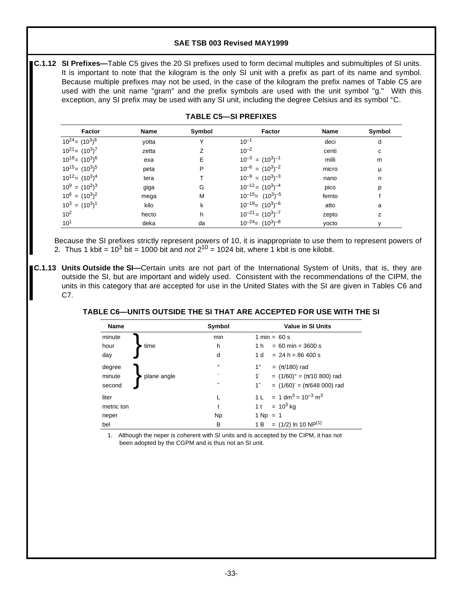**C.1.12 SI Prefixes—Table C5 gives the 20 SI prefixes used to form decimal multiples and submultiples of SI units.** It is important to note that the kilogram is the only SI unit with a prefix as part of its name and symbol. Because multiple prefixes may not be used, in the case of the kilogram the prefix names of Table C5 are used with the unit name "gram" and the prefix symbols are used with the unit symbol "g." With this exception, any SI prefix may be used with any SI unit, including the degree Celsius and its symbol °C.

| Factor                 | Name  | Symbol | Factor                     | Name  | Symbol |
|------------------------|-------|--------|----------------------------|-------|--------|
| $10^{24}$ = $(10^3)^8$ | yotta |        | $10^{-1}$                  | deci  | d      |
| $10^{21} = (10^3)^7$   | zetta |        | $10^{-2}$                  | centi | c      |
| $10^{18}$ = $(10^3)^6$ | exa   | E      | $10^{-3} = (10^{3})^{-1}$  | milli | m      |
| $10^{15}$ = $(10^3)^5$ | peta  | P      | $10^{-6} = (10^3)^{-2}$    | micro | μ      |
| $10^{12} = (10^3)^4$   | tera  |        | $10^{-9} = (10^3)^{-3}$    | nano  | n      |
| $10^9 = (10^3)^3$      | giga  | G      | $10^{-12} = (10^3)^{-4}$   | pico  | p      |
| $10^6 = (10^3)^2$      | mega  | M      | $10^{-15}$ = $(10^3)^{-5}$ | femto |        |
| $10^3 = (10^3)^1$      | kilo  | k      | $10^{-18}$ = $(10^3)^{-6}$ | atto  | а      |
| 10 <sup>2</sup>        | hecto | h      | $10^{-21} = (10^3)^{-7}$   | zepto | z      |
| 10 <sup>1</sup>        | deka  | da     | $10^{-24}$ = $(10^3)^{-8}$ | vocto |        |

### **TABLE C5— SI PREFIXES**

Because the SI prefixes strictly represent powers of 10, it is inappropriate to use them to represent powers of 2. Thus 1 kbit = 10<sup>3</sup> bit = 1000 bit and *not*  $2^{10}$  = 1024 bit, where 1 kbit is one kilobit.

**C.1.13 Units Outside the SI—** Certain units are not part of the International System of Units, that is, they are outside the SI, but are important and widely used. Consistent with the recommendations of the CIPM, the units in this category that are accepted for use in the United States with the SI are given in Tables C6 and C7.

### **TABLE C6— UNITS OUTSIDE THE SI THAT ARE ACCEPTED FOR USE WITH THE SI**

| <b>Name</b> |             | Symbol         | <b>Value in SI Units</b>                       |
|-------------|-------------|----------------|------------------------------------------------|
| minute      |             | min            | 1 min = $60 s$                                 |
| hour        | time        | h              | $= 60$ min $= 3600$ s<br>1 h                   |
| day         |             | d              | $= 24 h = 86 400 s$<br>1 d                     |
| degree      |             | $\circ$        | $1^{\circ}$<br>= $(\pi/180)$ rad               |
| minute      | plane angle | ,              | 1'<br>= $(1/60)$ ° = $(\pi/10 800)$ rad        |
| second      |             | $\prime\prime$ | 1''<br>$=$ (1/60)' = ( $\pi$ /648 000) rad     |
| liter       |             |                | 1 L = $1 \text{ dm}^3$ = $10^{-3} \text{ m}^3$ |
| metric ton  |             | t              | 1 t = $10^3$ kg                                |
| neper       |             | <b>Np</b>      | $1 Np = 1$                                     |
| bel         |             | в              | 1 B = $(1/2)$ In 10 NP <sup>(1)</sup>          |

1. Although the neper is coherent with SI units and is accepted by the CIPM, it has not been adopted by the CGPM and is thus not an SI unit.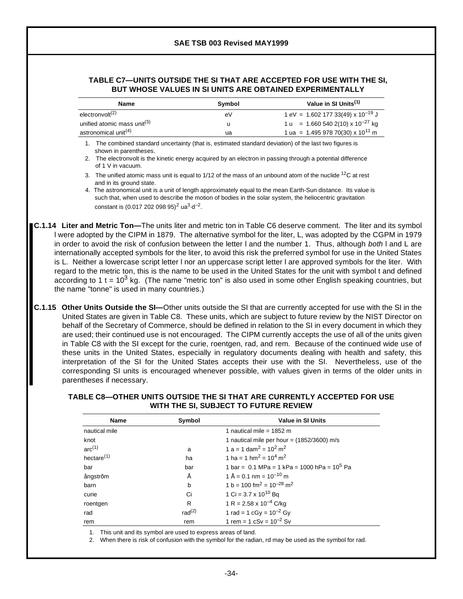#### **TABLE C7— UNITS OUTSIDE THE SI THAT ARE ACCEPTED FOR USE WITH THE SI, BUT WHOSE VALUES IN SI UNITS ARE OBTAINED EXPERIMENTALLY**

| Name                                     | Symbol | Value in SI Units <sup>(1)</sup>              |
|------------------------------------------|--------|-----------------------------------------------|
| electronvolt <sup><math>(2)</math></sup> | eV     | 1 eV = 1.602 177 33(49) x 10 <sup>-19</sup> J |
| unified atomic mass unit <sup>(3)</sup>  |        | 1 u = 1.660 540 2(10) x $10^{-27}$ kg         |
| astronomical unit <sup>(4)</sup>         | ua     | 1 ua = 1.495 978 70(30) x 10 <sup>11</sup> m  |

1. The combined standard uncertainty (that is, estimated standard deviation) of the last two figures is shown in parentheses.

2. The electronvolt is the kinetic energy acquired by an electron in passing through a potential difference of 1 V in vacuum.

3. The unified atomic mass unit is equal to  $1/12$  of the mass of an unbound atom of the nuclide  $12C$  at rest and in its ground state.

4. The astronomical unit is a unit of length approximately equal to the mean Earth-Sun distance. Its value is such that, when used to describe the motion of bodies in the solar system, the heliocentric gravitation constant is  $(0.017 202 098 95)^2$  ua<sup>3</sup>·d<sup>-2</sup>.

**C.1.14 Liter and Metric Ton—** The units liter and metric ton in Table C6 deserve comment. The liter and its symbol l were adopted by the CIPM in 1879. The alternative symbol for the liter, L, was adopted by the CGPM in 1979 in order to avoid the risk of confusion between the letter l and the number 1. Thus, although *both* l and L are internationally accepted symbols for the liter, to avoid this risk the preferred symbol for use in the United States is L. Neither a lowercase script letter l nor an uppercase script letter l are approved symbols for the liter. With regard to the metric ton, this is the name to be used in the United States for the unit with symbol t and defined according to 1 t = 10<sup>3</sup> kg. (The name "metric ton" is also used in some other English speaking countries, but the name "tonne" is used in many countries.)

**C.1.15 Other Units Outside the SI—** Other units outside the SI that are currently accepted for use with the SI in the United States are given in Table C8. These units, which are subject to future review by the NIST Director on behalf of the Secretary of Commerce, should be defined in relation to the SI in every document in which they are used; their continued use is not encouraged. The CIPM currently accepts the use of all of the units given in Table C8 with the SI except for the curie, roentgen, rad, and rem. Because of the continued wide use of these units in the United States, especially in regulatory documents dealing with health and safety, this interpretation of the SI for the United States accepts their use with the SI. Nevertheless, use of the corresponding SI units is encouraged whenever possible, with values given in terms of the older units in parentheses if necessary.

| Name               | Symbol    | <b>Value in SI Units</b>                                     |
|--------------------|-----------|--------------------------------------------------------------|
| nautical mile      |           | 1 nautical mile = $1852$ m                                   |
| knot               |           | 1 nautical mile per hour = $(1852/3600)$ m/s                 |
| arc <sup>(1)</sup> | a         | $1 a = 1$ dam <sup>2</sup> = $10^2$ m <sup>2</sup>           |
| hectare $(1)$      | ha        | 1 ha = 1 hm <sup>2</sup> = $104$ m <sup>2</sup>              |
| bar                | bar       | 1 har = $0.1$ MPa = 1 kPa = 1000 hPa = $10^5$ Pa             |
| ångström           | Å         | $1 \text{ Å} = 0.1 \text{ nm} = 10^{-10} \text{ m}$          |
| barn               | b         | 1 b = 100 fm <sup>2</sup> = 10 <sup>-28</sup> m <sup>2</sup> |
| curie              | Ci        | 1 Ci = $3.7 \times 10^{10}$ Bq                               |
| roentgen           | R         | $1 R = 2.58 \times 10^{-4}$ C/kg                             |
| rad                | rad $(2)$ | 1 rad = 1 cGy = $10^{-2}$ Gy                                 |
| rem                | rem       | 1 rem = $1 \text{ cSv} = 10^{-2} \text{ Sv}$                 |

### **TABLE C8— OTHER UNITS OUTSIDE THE SI THAT ARE CURRENTLY ACCEPTED FOR USE WITH THE SI, SUBJECT TO FUTURE REVIEW**

1. This unit and its symbol are used to express areas of land.

2. When there is risk of confusion with the symbol for the radian, rd may be used as the symbol for rad.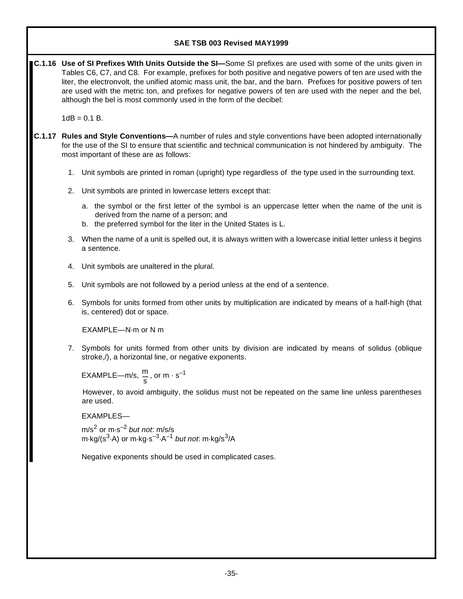**C.1.16 Use of SI Prefixes WIth Units Outside the SI—** Some SI prefixes are used with some of the units given in Tables C6, C7, and C8. For example, prefixes for both positive and negative powers of ten are used with the liter, the electronvolt, the unified atomic mass unit, the bar, and the barn. Prefixes for positive powers of ten are used with the metric ton, and prefixes for negative powers of ten are used with the neper and the bel, although the bel is most commonly used in the form of the decibel:

 $1dB = 0.1 B$ .

- **C.1.17 Rules and Style Conventions—** A number of rules and style conventions have been adopted internationally for the use of the SI to ensure that scientific and technical communication is not hindered by ambiguity. The most important of these are as follows:
	- 1. Unit symbols are printed in roman (upright) type regardless of the type used in the surrounding text.
	- 2. Unit symbols are printed in lowercase letters except that:
		- a. the symbol or the first letter of the symbol is an uppercase letter when the name of the unit is derived from the name of a person; and
		- b. the preferred symbol for the liter in the United States is L.
	- 3. When the name of a unit is spelled out, it is always written with a lowercase initial letter unless it begins a sentence.
	- 4. Unit symbols are unaltered in the plural.
	- 5. Unit symbols are not followed by a period unless at the end of a sentence.
	- 6. Symbols for units formed from other units by multiplication are indicated by means of a half-high (that is, centered) dot or space.

EXAMPLE— N·m or N m

7. Symbols for units formed from other units by division are indicated by means of solidus (oblique stroke,/), a horizontal line, or negative exponents.

 $EXAMPLE-m/s, m$  , or  $m\cdot s^{-1}$  $\frac{1}{s}$ 

However, to avoid ambiguity, the solidus must not be repeated on the same line unless parentheses are used.

EXAMPLES—

m/s<sup>2</sup> or m·s–2 *but not*: m/s/s m·kg/(s<sup>3</sup> ·A) or m·kg·s–3·A–1 *but not*: m·kg/s<sup>3</sup> /A

Negative exponents should be used in complicated cases.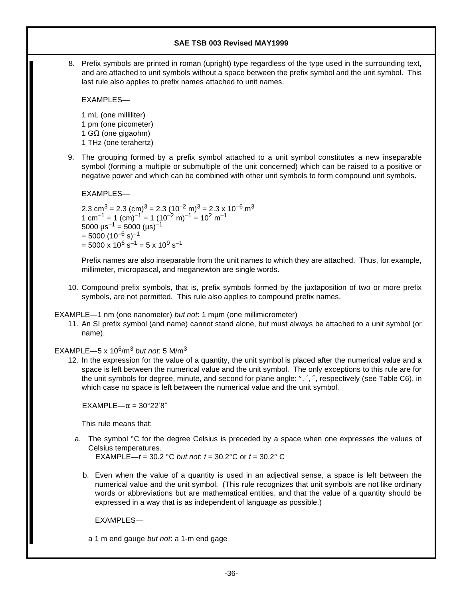8. Prefix symbols are printed in roman (upright) type regardless of the type used in the surrounding text, and are attached to unit symbols without a space between the prefix symbol and the unit symbol. This last rule also applies to prefix names attached to unit names.

EXAMPLES—

1 mL (one milliliter) 1 pm (one picometer) 1 GΩ (one gigaohm) 1 THz (one terahertz)

9. The grouping formed by a prefix symbol attached to a unit symbol constitutes a new inseparable symbol (forming a multiple or submultiple of the unit concerned) which can be raised to a positive or negative power and which can be combined with other unit symbols to form compound unit symbols.

EXAMPLES—

2.3 cm<sup>3</sup> = 2.3 (cm)<sup>3</sup> = 2.3 (10<sup>-2</sup> m)<sup>3</sup> = 2.3 x 10<sup>-6</sup> m<sup>3</sup> 1 cm<sup>-1</sup> = 1 (cm)<sup>-1</sup> = 1 (10<sup>-2</sup> m)<sup>-1</sup> = 10<sup>2</sup> m<sup>-1</sup>  $5000 \text{ }\mu\text{s}^{-1} = 5000 \text{ }\text{(}\mu\text{s)}^{-1}$  $= 5000 (10^{-6} \text{ s})^{-1}$  $= 5000 \times 10^6 \text{ s}^{-1} = 5 \times 10^9 \text{ s}^{-1}$ 

Prefix names are also inseparable from the unit names to which they are attached. Thus, for example, millimeter, micropascal, and meganewton are single words.

10. Compound prefix symbols, that is, prefix symbols formed by the juxtaposition of two or more prefix symbols, are not permitted. This rule also applies to compound prefix names.

EXAMPLE— 1 nm (one nanometer) *but not*: 1 mµm (one millimicrometer)

11. An SI prefix symbol (and name) cannot stand alone, but must always be attached to a unit symbol (or name).

EXAMPLE— 5 x 10<sup>6</sup> /m<sup>3</sup> *but not*: 5 M/m<sup>3</sup>

12. In the expression for the value of a quantity, the unit symbol is placed after the numerical value and a space is left between the numerical value and the unit symbol. The only exceptions to this rule are for the unit symbols for degree, minute, and second for plane angle: °, ′, ″, respectively (see Table C6), in which case no space is left between the numerical value and the unit symbol.

EXAMPLE— $\alpha$  = 30°22′8″

This rule means that:

a. The symbol °C for the degree Celsius is preceded by a space when one expresses the values of Celsius temperatures.

EXAMPLE— $t = 30.2$  °C *but not*:  $t = 30.2$  °C or  $t = 30.2$  °C

b. Even when the value of a quantity is used in an adjectival sense, a space is left between the numerical value and the unit symbol. (This rule recognizes that unit symbols are not like ordinary words or abbreviations but are mathematical entities, and that the value of a quantity should be expressed in a way that is as independent of language as possible.)

EXAMPLES—

a 1 m end gauge *but not*: a 1-m end gage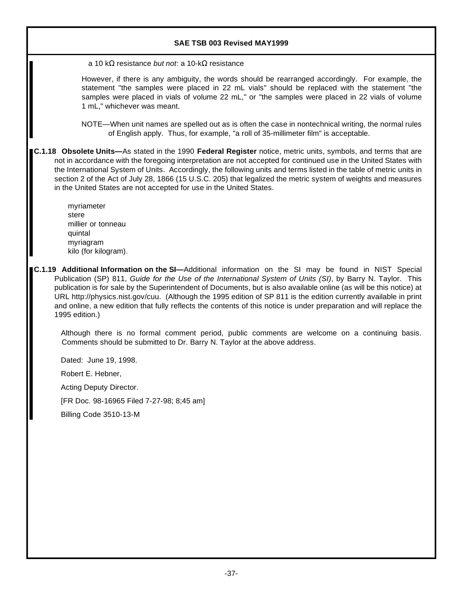a 10 kΩ resistance *but not*: a 10-kΩ resistance

However, if there is any ambiguity, the words should be rearranged accordingly. For example, the statement "the samples were placed in 22 mL vials" should be replaced with the statement "the samples were placed in vials of volume 22 mL," or "the samples were placed in 22 vials of volume 1 mL," whichever was meant.

NOTE— When unit names are spelled out as is often the case in nontechnical writing, the normal rules of English apply. Thus, for example, "a roll of 35-millimeter film" is acceptable.

**C.1.18 Obsolete Units—** As stated in the 1990 **Federal Register** notice, metric units, symbols, and terms that are not in accordance with the foregoing interpretation are not accepted for continued use in the United States with the International System of Units. Accordingly, the following units and terms listed in the table of metric units in section 2 of the Act of July 28, 1866 (15 U.S.C. 205) that legalized the metric system of weights and measures in the United States are not accepted for use in the United States.

- myriameter stere millier or tonneau quintal myriagram kilo (for kilogram).
- **C.1.19 Additional Information on the SI—** Additional information on the SI may be found in NIST Special Publication (SP) 811, *Guide for the Use of the International System of Units (SI)*, by Barry N. Taylor. This publication is for sale by the Superintendent of Documents, but is also available online (as will be this notice) at URL http://physics.nist.gov/cuu. (Although the 1995 edition of SP 811 is the edition currently available in print and online, a new edition that fully reflects the contents of this notice is under preparation and will replace the 1995 edition.)

Although there is no formal comment period, public comments are welcome on a continuing basis. Comments should be submitted to Dr. Barry N. Taylor at the above address.

Dated: June 19, 1998.

Robert E. Hebner,

Acting Deputy Director.

[FR Doc. 98-16965 Filed 7-27-98; 8;45 am]

Billing Code 3510-13-M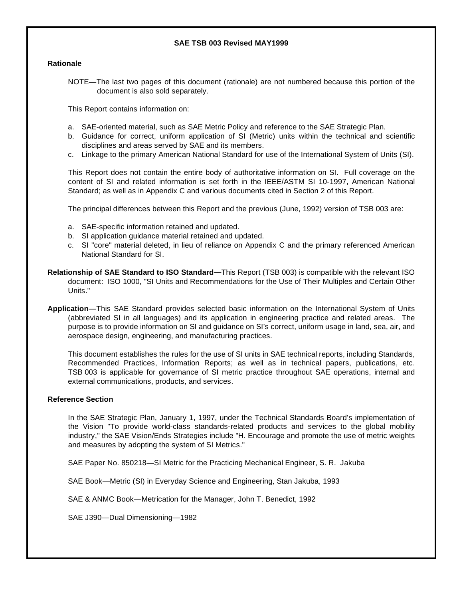#### **Rationale**

NOTE— The last two pages of this document (rationale) are not numbered because this portion of the document is also sold separately.

This Report contains information on:

- a. SAE-oriented material, such as SAE Metric Policy and reference to the SAE Strategic Plan.
- b. Guidance for correct, uniform application of SI (Metric) units within the technical and scientific disciplines and areas served by SAE and its members.
- c. Linkage to the primary American National Standard for use of the International System of Units (SI).

This Report does not contain the entire body of authoritative information on SI. Full coverage on the content of SI and related information is set forth in the IEEE/ASTM SI 10-1997, American National Standard; as well as in Appendix C and various documents cited in Section 2 of this Report.

The principal differences between this Report and the previous (June, 1992) version of TSB 003 are:

- a. SAE-specific information retained and updated.
- b. SI application guidance material retained and updated.
- c. SI "core" material deleted, in lieu of reliance on Appendix C and the primary referenced American National Standard for SI.
- **Relationship of SAE Standard to ISO Standard—** This Report (TSB 003) is compatible with the relevant ISO document: ISO 1000, "SI Units and Recommendations for the Use of Their Multiples and Certain Other Units."
- **Application—** This SAE Standard provides selected basic information on the International System of Units (abbreviated SI in all languages) and its application in engineering practice and related areas. The purpose is to provide information on SI and guidance on SI's correct, uniform usage in land, sea, air, and aerospace design, engineering, and manufacturing practices.

This document establishes the rules for the use of SI units in SAE technical reports, including Standards, Recommended Practices, Information Reports; as well as in technical papers, publications, etc. TSB 003 is applicable for governance of SI metric practice throughout SAE operations, internal and external communications, products, and services.

### **Reference Section**

In the SAE Strategic Plan, January 1, 1997, under the Technical Standards Board's implementation of the Vision "To provide world-class standards-related products and services to the global mobility industry," the SAE Vision/Ends Strategies include "H. Encourage and promote the use of metric weights and measures by adopting the system of SI Metrics."

SAE Paper No. 850218— SI Metric for the Practicing Mechanical Engineer, S. R. Jakuba

SAE Book— Metric (SI) in Everyday Science and Engineering, Stan Jakuba, 1993

SAE & ANMC Book— Metrication for the Manager, John T. Benedict, 1992

SAE J390— Dual Dimensioning— 1982